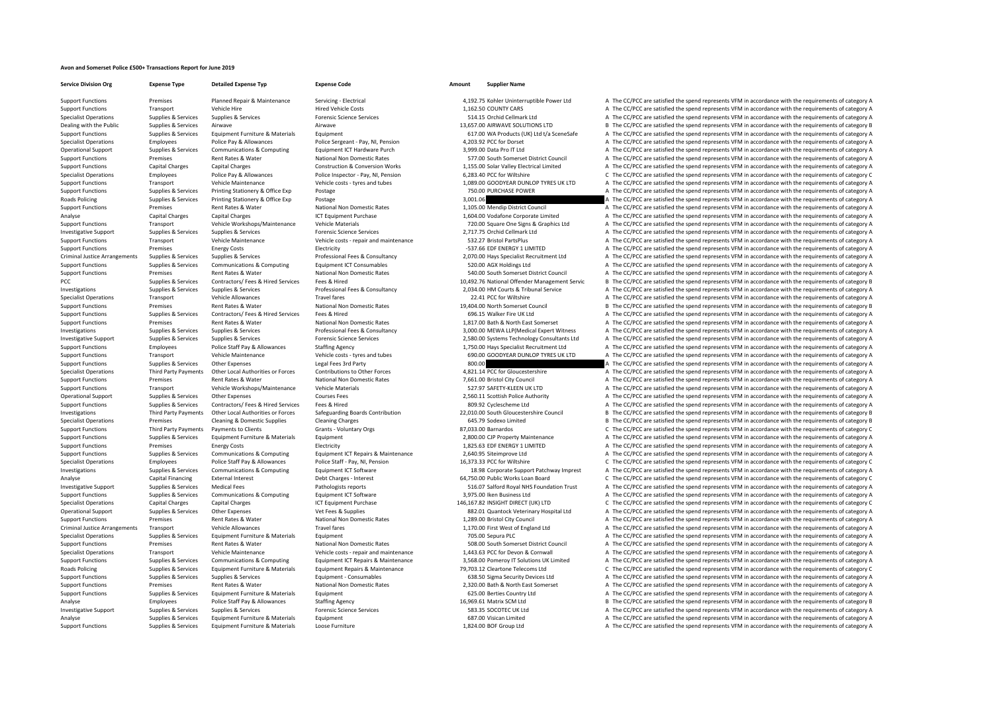## **Avon and Somerset Police £500+ Transactions Report for June 2019**

**Service Division Org Expense Type Detailed Expense Typ Expense Code Amount Supplier Name**

Support Functions Premises Planned Repair & Maintenance Servicing - Electrical 4,192.75 Kohler Uninterruptible Power Ltd A The CC/PCC are satisfied the spend represents VFM in accordance with the requirements of category A Support Functions Transport Vehicle Hire Hire Hired Vehicle Costs Hied Vehicle Costs 1,162.50 COUNTY CARS A The CC/PCC are satisfied the spend represents VFM in accordance with the requirements of category A Specialist Operations Supplies & Services Supplies & Services Forensic Science Services Forensic Science Services 514.15 Orchid Cellmark Ltd A The CC/PCC are satisfied the spend represents VFM in accordance with the requir Dealing with the Public Supplies & Services Airwave Airwave Airwave Airwave Airwave Airwave Airwave Airwave Airwave Airwave Airwave Airwave Airwave Airwave Airwave 13,657.00 AIRWAVE SOLUTIONS LTD B The CC/PCC are satisfied Support Functions Supplies & Services Equipment Furniture & Materials Equipment 617.00 WA Products (UK) Ltd t/a SceneSafe A The CC/PCC are satisfied the spend represents VFM in accordance with the requirements of category Specialist Operations Employees Police Pay & Allowances Police Sergeant - Pay, NI, Pension 4,203.92 PCC for Dorset A The CC/PCC are satisfied the spend represents VFM in accordance with the requirements of category A Operational Support Supplies & Services Communications & Computing Equipment ICT Hardware Purch 3,999.00 Data Pro IT Ltd A The CC/PCC are satisfied the spend represents VFM in accordance with the requirements of category A Support Functions Premises Rent Rates & Water National Non Domestic Rates 577.00 South Somerset District Council A The CC/PCC are satisfied the spend represents VFM in accordance with the requirements of category A Support Functions Capital Charges Capital Charges Construction & Conversion Works 1,155.00 Solar Valley Electrical Limited A The CC/PCC are satisfied the spend represents VFM in accordance with the requirements of category Specialist Operations Employees Police Pay & Allowances Police Inspector - Pay, NI, Pension 6,283.40 PCC for Wiltshire C The CC/PCC are satisfied the spend represents VFM in accordance with the requirements of category C V Support Functions Transport Vehicle Maintenance Vehicle costs – tyres and tubes 1,089.00 GOODYEAR DUNLOP TYRES UK LTD A The CC/PCC are satisfied the spend represents VFM in accordance with the requirements of category A Support Functions Supplies & Services Printing Stationery & Office Exp Postage 750.00 PURCHASE POWER 750.00 PURCHASE POWER A The CC/PCC are satisfied the spend represents VFM in accordance with the requirements of category Roads Policing Supplies & Supplies & Services Printing Stationery & Office Exp Postage 91.49 Postage 3,001.06 A The CC/PCC are satisfied the spend represents VFM in accordance with the requirements of category A The CC/PCC Support Functions Premises Rent Rates & Water National Non Domestic Rates 1,105.00 Mendip District Council A The CC/PCC are satisfied the spend represents VFM in accordance with the requirements of category A Analyse Capital Charges Capital Charges Capital Charges ICT Equipment Purchase 1,604.00 Vodafone Corporate Limited A The CC/PCC are satisfied the spend represents VFM in accordance with the requirements of category A Support Functions Transport Vehicle Workshops/Maintenance Vehicle Materials Vehicle Materials 720.00 Square One Signs & Graphics Ltd A The CC/PCC are satisfied the spend represents VFM in accordance with the requirements o Investigative Support Supplies & Services Supplies & Services Forensic Science Services Forensic Science Services Support Support Support Support Support Support Support Support Support Support Support Support Support Supp Support Functions Transport Vehicle Maintenance Vehicle costs - repair and maintenance 532.27 Bristol PartsPlus A The CC/PCC are satisfied the spend represents VFM in accordance with the requirements of category A Support Functions Premises Energy Costs Electricity Electricity Electricity Electricity Electricity Electricity Function and the CC/PCC are satisfied the spend represents VFM in accordance with the requirements of category Criminal Justice Arrangements Supplies & Services Supplies & Services Supplies & Services Supplies & Services Supplies & Services Professional Feed & Consultancy 2,070.00 Hays Specialist Recruitment Ltd A The CC/PCC are sa A The CC/PCC are satisfied the spend represents VFM in accordance with the requirements of category A Support Functions Premises Rent Rates & Water National Non Domestic Rates 540.00 South Somerset District Council A The CC/PCC are satisfied the spend represents VFM in accordance with the requirements of category A PCC Supplies & Services Contractors/ Fees & Hired Services Fees & Hired 10,492.76 National Offender Management Servic B The CC/PCC are satisfied the spend represents VFM in accordance with the requirements of category B Investigations Supplies & Supplies & Services Supplies & Services Music Professional Fees & Consultancy 2034.00 HM Courts & Tribunal Service A The CC/PCC are satisfied the spend represents VFM in accordance with the requir Travel fares Travel fares Travel fares 22.41 PCC for Wiltshire A The CC/PCC are satisfied the spend represents VFM in accordance with the requirements of category A Support Functions Premises Rent Rates & Water National Non Domestic Rates 19,404.00 North Somerset Council B The CC/PCC are satisfied the spend represents VFM in accordance with the requirements of category B Support Functions Supports Support Support Contractors/ Fees & Hired Services Fees & Hired 696.15 Walker Fire UK Ltd A The CC/PCC are satisfied the spend represents VFM in accordance with the requirements of category A Support Functions Premises Rent Rates & Water National Non Domestic Rates 1,817.00 Bath & North East Somerset A The CC/PCC are satisfied the spend represents VFM in accordance with the requirements of category A The Crites A The CC/PCC are satisfied the spend represents VFM in accordance with the requirements of category A 1.750.00 Investigative Support Supplies & Services Supplies & Services Forensic Science Services Forensic Science Services Forensic Science Services and a media a staffine density of the CSS 2,580.00 Systems Technology Con Support Functions Employees Police Staff Pay & Allowances Staffing Agency 1,750.00 Hays Specialist Recruitment Ltd A The CC/PCC are satisfied the spend represents VFM in accordance with the requirements of category A Support Functions Transport Vehicle Maintenance Vehicle costs – tyres and tubes 690.00 GOODYEAR DUNLOP TYRES UK LTD A The CC/PCC are satisfied the spend represents VFM in accordance with the requirements of category A Support Functions Supplies & Services Other Expenses Legal Fees 3rd Party BOD, and the support of the spend represents VFM in accordance with the requirements of category A Specialist Operations Third Party Payments Other Local Authorities or Forces Contributions to Other Forces and the CONTENT A The CC/PCC are satisfied the spend represents VFM in accordance with the requirements of category Support Functions Premises Rent Rates & Water National Non Domestic Rates 7,661.00 Bristol City Council A The CC/PCC are satisfied the spend represents VFM in accordance with the requirements of category A The non-time sat Support Functions Transport Vehicle Workshops/Maintenance Vehicle Materials 527.97 SAFETY‐KLEEN UK LTD A The CC/PCC are satisfied the spend represents VFM in accordance with the requirements of category A Operational Support Supplies & Services Other Expenses Courses Fees Courses Fees 2,560.11 Scottish Police Authority A The CC/PCC are satisfied the spend represents VFM in accordance with the requirements of category A Supp Supplies & Services Contractors/ Fees & Hired Function Fees & Hired 809.92 Cyclescheme Ltd A The CC/PCC are satisfied the spend represents VFM in accordance with the requirements of category A Thired 809.92 Cyclescheme Ltd Investigations Third Party Payments Other Local Authorities or Forces Safeguarding Boards Contribution 22.010.00 South Gloucestershire Council B The CC/PCC are satisfied the spend represents VFM in accordance with the requ Specialist Operations Premises Cleaning & Domestic Supplies Cleaning Charges Cleaning Charges Cleaning Charges Cleaning Charges Cleaning Charges Cleaning Charges Cleaning Charges Cleaning Charges 645.79 Sodexo Limited B Th Support Functions Third Party Payments Payments of Clients Grants - Voluntary Orgs Grants Crants Crants Crants Crants Crants Crants Crants Crants Crants Crants Crants Crants Grants Grants Grants Grants Grants Crants Crants Supplies & Services Equipment Furniture & Materials Equipment Functions Category A The CC/PCC are satisfied the spend represents VFM in accordance with the requirements of category A Support Functions Premises Energy Costs Electricity Electricity Electricity Electricity Electricity and the support Energy Costs Electricity Electricity and the spend represents VFM in accordance with the requirements of c Support Functions Supplies & Services Communications & Computing Equipment ICT Repairs & Maintenance 2,640.95 Stieimprove Ltd and The CC/PCC are satisfied the spend represents VFM in accordance with the requirements of cat Specialist Operations Employees Police Staff Pay & Allowances Police Staff - Pay, NI, Pension 16,373.33 PCC for Wiltshire C The CC/PCC are satisfied the spend represents VFM in accordance with the requirements of category Investigations Supplies & Services Communications & Computing Equipment ICT Software Equipment ICT Software 18.98 Corporate Support Patchway Imprest A The CC/PCC are satisfied the spend represents VFM in accordance with th Analyse Capital Financing External Interest Debt Charges - Interest Debt Charges - Interest 64,750.00 Public Works Loan Board C The CC/PCC are satisfied the spend represents VFM in accordance with the requirements of categ Investigative Support Supplies & Services Medical Fees Pathologists reports Pathologists reports 516.07 Salford Royal NHS Foundation Trust A The CC/PCC are satisfied the spend represents VFM in accordance with the requirem Support Functions Supplies & Services Communications & Computing For Formulations and The COMPUT are satisfied the spend represents VFM in accordance with the requirements of category A Specialist Operations Capital Charges Capital Charges ICT Equipment Purchase 146,167.82 INSIGHT DIRECT (UK) LTD C The CC/PCC are satisfied the spend represents VFM in accordance with the requirements of category C Operational Support Supplies & Services Other Expenses Vet Fees & Supplies Vet Fees & Supplies Vet Fees & Supplies Support and the Support Support A The CC/PCC are satisfied the spend represents VFM in accordance with the Support Functions Premises Rent Rates & Water National Non Domestic Rates 1,289.00 Bristol City Council A The CC/PCC are satisfied the spend represents VFM in accordance with the requirements of category A Criminal Justice Arrangements Transport Vehicle Allowances Travel fares Travel fares 1,170.00 First West of England Ltd A The CC/PCC are satisfied the spend represents VFM in accordance with the requirements of category A Specialist Operations Supplies & Services Equipment Eurniture & Materials Equipment Equipment and the Supplies Equipment 705.00 Sepura PLC A The CC/PCC are satisfied the spend represents VFM in accordance with the requirem Support Functions Premises Rent Rates & Water National Non Domestic Rates Some Some Some Some Some District Council A The CC/PCC are satisfied the spend represents VFM in accordance with the requirements of category A The Specialist Operations Transport Vehicle Maintenance Vehicle costs - repair and maintenance Vehicle costs - repair and maintenance 1,443.63 PCC for Devon & Cornwall A The CC/PCC are satisfied the spend represents VFM in acc Support Functions Supplies & Services Communications & Computing Equipment ICT Repairs & Maintenance 3,568.00 Pomeroy IT Solutions UK Limited A The CC/PCC are satisfied the spend represents VFM in accordance with the requi Roads Policing Supplies & Supplies & Services Equipment Furniture & Materials Equipment Repairs & Maintenance 79,703.12 Cleartone Telecoms Ltd C The CC/PCC are satisfied the spend represents VFM in accordance with the requ Support Functions Supplies & Services Supplies & Services Supplies & Services Equipment - Consumables Equipment - Consumables 638.50 Sigma Security Devices Ltd A The CC/PCC are satisfied the spend represents VFM in accorda Support Functions Premises Rent Rates & Water National Non Domestic Rates 2,320.00 Bath & North East Somerset A The CC/PCC are satisfied the spend represents VFM in accordance with the requirements of category A Support Functions Supplies & Services Equipment Furniture & Materials Equipment Equipment Equipment Equipment Equipment and the COSCO Berties Country Ltd A The CC/PCC are satisfied the spend represents VFM in accordance wi Analyse Employees Police Staff Pay & Allowances Staffing Agency Staffing Agency States Staff Pay and the State State of the States of the State of the State Agency and the State Agency 16,969.61 Matrix SCM Ltd B The CC/PCC Investigative Support Supplies & Services Supplies & Services Supplies & Services Forensic Science Services 583.35 SOCOTEC UK Ltd A The CC/PCC are satisfied the spend represents VFM in accordance with the requirements of c Analyse Supplies & Services Equipment Furniture & Materials Equipment Equipment 687.00 Visican Limited A The CC/PCC are satisfied the spend represents VFM in accordance with the requirements of category A Support Functions Supplies & Services Equipment Furniture & Materials Loose Furniture 1,824.00 BOF Group Ltd A The CC/PCC are satisfied the spend represents VFM in accordance with the requirements of category A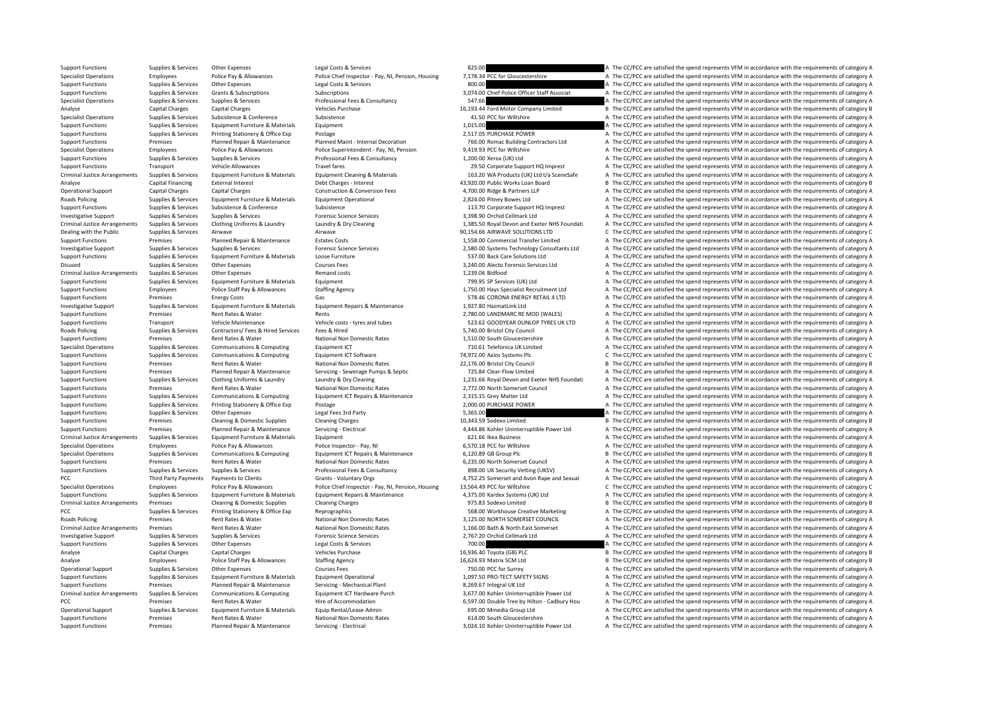Support Functions Supplies & Services Other Expenses Legal Costs & Services 825.00 BES 25.00 A The CC/PCC are satisfied the spend represents VFM in accordance with the requirements of category A Specialist Operations Employees Police Pay & Allowances Police Chief Inspector - Pay, NI, Pension, Housing 7,178.34 PCC for Gloucestershire A The CC/PCC are satisfied the spend represents VFM in accordance with the require Support Functions Supplies & Services Other Expenses Legal Costs & Services Legal Costs & Services Legal Costs & Services 800.00 A The CC/PCC are satisfied the spend represents VFM in accordance with the requirements of ca Support Functions Supplies & Services Grants & Subscriptions Subscriptions Subscriptions Subscriptions Subscriptions Subscriptions Subscriptions and the Subscriptions and the CC/PCC are satisfied the spend represents VFM i Supplies A Service Supplies A The CC/PCC are satisfied the spend represents VFM in accordance with the requirements of category A Analyse Capital Charges Capital Charges Vehicles Purchase Vehicles Purchase 16,193.44 Ford Motor Company Limited B The CC/PCC are satisfied the spend represents VFM in accordance with the requirements of category B Specialist Operations Supplies & Services Subsistence & Conference Subsistence Subsistence Subsistence a Subsistence A The CC/PCC are satisfied the spend represents VFM in accordance with the requirements of category A Support Functions Supplies & Services Equipment Furniture & Materials Equipment Equipment and the Support of the Support The CC/PCC are satisfied the spend represents VFM in accordance with the requirements of category A T Support Functions Supplies & Services Printing Stationery & Office Exp Postage 2,517.05 PURCHASE POWER A The CC/PCC are satisfied the spend represents VFM in accordance with the requirements of category A Support Functions Premises Planned Repair & Maintenance Planned Maint - Internal Decoration 766.00 Romac Building Contractors Ltd A The CC/PCC are satisfied the spend represents VFM in accordance with the requirements of c Specialist Operations Employees Police Pay & Allowances Police Superintendent - Pay, NI, Pension 9,419.93 PCC for Wiltshire A Superintendent Pay, NI, Pension 9,419.93 PCC for Wiltshire A The CC/PCC are satisfied the spend Support Functions Support Support Supplies & Services Supplies Professional Fees & Consultancy 1,200.00 Xerox (UK) Itd A The CC/PCC are satisfied the spend represents VFM in accordance with the requirements of category A Support Functions Transport Vehicle Allowances Travel fares Travel fares 29.50 Corporate Support HQ Imprest A The CC/PCC are satisfied the spend represents VFM in accordance with the requirements of category A Criminal Justice Arrangements Supplies & Services Equipment Furniture & Materials Equipment Cleaning & Materials Equipment Puraniture & Materials Equipment Cleaning & Materials 163.20 WA Products (UK) Ltd t/a SceneSafe A T Analyse Capital Financing External Interest Debt Charges - Interest Debt Charges - Interest 43,920.00 Public Works Loan Board B The CC/PCC are satisfied the spend represents VFM in accordance with the requirements of categ Operational Support Capital Charges Capital Charges Construction & Construction & Conversion Fees 4,700.00 Ridge & Partners LLP A The CC/PCC are satisfied the spend represents VFM in accordance with the requirements of cat Roads Policing Supplies & Services Equipment Furniture & Materials Equipment Operational 2,824.00 Pitney Bowes Ltd A The CC/PCC are satisfied the spend represents VFM in accordance with the requirements of category A Support Functions Supplies & Services Subsistence & Conference Subsistence Subsistence Support HQ Imprest A The CC/PCC are satisfied the spend represents VFM in accordance with the requirements of category A Investigative Support Support Support Support Support Support Support Support Support Support Support Support Support Support Support Support Support Support Support Support Support Support Support Support Support Support Criminal Justice Arrangements Supplies & Services Clothing Uniforms & Laundry Laundry & Dry Cleaning and the Supplies of care and Exeter NHS Foundati A The CC/PCC are satisfied the spend represents VFM in accordance with t Dealing with the Public Supplies & Services Airwave Airwave 90,154.66 AIRWAVE SOLUTIONS LTD C The CC/PCC are satisfied the spend represents VFM in accordance with the requirements of category C Support Functions Premises Planned Repair & Maintenance Estates Costs 1,558.00 Commercial Transfer Limited A The CC/PCC are satisfied the spend represents VFM in accordance with the requirements of category A Investigative Support Support Support Supporters Supporters Supporters Supporters Supporters Supporters Supporters Supporters Supporters (Supporters Coverage Supporters Coverage Consultants Case 2,580,00 Systems Technology Support Functions Supplies & Services Equipment Furniture & Materials Loose Furniture Loose Furniture 537.00 Back Care Solutions Ltd A The CC/PCC are satisfied the spend represents VFM in accordance with the requirements o A The CC/PCC are satisfied the spend represents VFM in accordance with the requirements of category A Criminal Justice Arrangements Supplies & Services Other Expenses Remand costs Remand costs 1,239.06 Bidfood A The CC/PCC are satisfied the spend represents VFM in accordance with the requirements of category A Support Functions Support Factorials Services Factorials Factorials Functionals Functions of Contrast Contrast Contrast Contrast Contrast A The CC/PCC are satisfied the spend represents VFM in accordance with the requireme Support Functions Employees Police Staff Pay & Allowances Staffing Agency States States States States States States States and the Support Functions A The CC/PCC are satisfied the spend represents VFM in accordance with th Support Functions Cas and the CC/PCC are satisfied the spend represents VFM in accordance with the requirements of category A Investigative Support Supplies & Services Equipment Furniture & Materials Equipment Repairs & Maintenance 1,927.80 HazmatLink Ltd A The CC/PCC are satisfied the spend represents VFM in accordance with the requirements of c Support Functions Premises Rent Rates & Water Rents Rents Rents Rents 2,780.00 LANDMARC RE MOD (WALES) A The CC/PCC are satisfied the spend represents VFM in accordance with the requirements of category A Support Functions Transport Vehicle Maintenance Vehicle Costs – tyres and tubes 523.62 GOODYEAR DUNLOP TYRES UK LTD A The CC/PCC are satisfied the spend represents VFM in accordance with the requirements of category A Road A The CC/PCC are satisfied the spend represents VFM in accordance with the requirements of category A Support Functions Premises Rent Rates & Water National Non Domestic Rates 1,510.00 South Gloucestershire A The CC/PCC are satisfied the spend represents VFM in accordance with the requirements of category A Specialist Operations Supplies & Services Communications & Computing Equipment ICT 710.61 Telefonica UK Limited A The CC/PCC are satisfied the spend represents VFM in accordance with the requirements of category A Support Functions Supplies & Services Communications & Computing Equipment ICT Software Functions 74,972.00 Axios Systems Plc C The CC/PCC are satisfied the spend represents VFM in accordance with the requirements of categ Support Functions Premises Rent Rates & Water National Non Domestic Rates 22,176.00 Bristol City Council B The CC/PCC are satisfied the spend represents VFM in accordance with the requirements of category B Support Functions Premises Planned Repair & Maintenance Servicing ‐ Servicing ‐ Servicing ‐ Servicing ‐ Septic 725.84 Clear‐Flow Limited A The CC/PCC are satisfied the spend represents VFM in accordance with the requiremen Suppliers & Services Clothing Uniforms & Laundry Bundry Bundry Cleaning and the CLORICAL CALLER A The CCAPCC are satisfied the spend represents VFM in accordance with the requirements of category A Support Functions Premises Rent Rates & Water National Non Domestic Rates 2,772.00 North Somerset Council A The CC/PCC are satisfied the spend represents VFM in accordance with the requirements of category A Support Functions Supplies & Services Communications & Computing Equipment ICT Repairs & Maintenance 2,315.15 Grey Matter Ltd and The CC/PCC are satisfied the spend represents VFM in accordance with the requirements of cat Postage **Supplies A The CC/PCC** are satisfied the spend represents VFM in accordance with the requirements of category A Support Functions Supplies & Services Other Expenses Legal Fees 3rd Party 5,365.00 5,365.00 A The CC/PCC are satisfied the spend represents VFM in accordance with the requirements of category A Support Functions Premises Cleaning & Domestic Supplies Cleaning Charges Cleaning Charges 20,343.59 Sodexo Limited B The CC/PCC are satisfied the spend represents VFM in accordance with the requirements of category B Support Functions Premises Planned Repair & Maintenance Servicing - Electrical 4,444.86 Kohler Uninterruptible Power Ltd A The CC/PCC are satisfied the spend represents VFM in accordance with the requirements of category A Equipment Tustice Arrangement Supplies Arrangement Supplies A The CC/PCC are satisfied the spend represents VFM in accordance with the requirements of category A Specialist Operations Employees Police Pay & Allowances Police Inspector - Pay, NI 6,570.18 PCC for Wiltshire A The CC/PCC are satisfied the spend represents VFM in accordance with the requirements of category A Supplies & Services Communications & Computing Equipment ICT Repairs & Maintenance 6,120.89 GB Group Plc 6 BThe CC/PCC are satisfied the spend represents VFM in accordance with the requirements of category B Support Functions Premises Rent Rates & Water National Non Domestic Rates 6,235.00 North Somerset Council A The CC/PCC are satisfied the spend represents VFM in accordance with the requirements of category A Support Functions Supplies & Services Supplies & Services Professional Fees & Consultancy 898.00 UK Security Vetting (UKSV) A The CC/PCC are satisfied the spend represents VFM in accordance with the requirements of categor PCC Third Party Payments Payments to Clients Grants - Voluntary Orgs Grants - Voluntary Orgs 4,752.25 Somerset and Avon Rape and Sexual A The CC/PCC are satisfied the spend represents VFM in accordance with the requirement Specialist Operations Employees Police Pay & Allowances Police Chief Inspector - Pay, NJ, Pension, Housing 13,564.49 PCC for Willshire C. The CC/PCC are satisfied the spend represents VFM in accordance with the requirement Supplies & Services Foulynment Furniture & Materials Foulynment Renairs & Maintenance 4.375.00 Kardex Systems (UK) I td A The CC/PCC are satisfied the spend represents VFM in accordance with the requirements of category A Criminal Justice Arrangements Premises Cleaning & Domestic Supplies Cleaning Charges Cleaning Charges Cleaning Charges Cleaning Charges Cleaning Charges 975.83 Sodexo Limited B The CC/PCC are satisfied the spend represents PCC PCC Supplies A Supplies & Services Printing Stationery & Office Exp Reprographics Reprographics 568.00 Workhouse Creative Marketing A The CC/PCC are satisfied the spend represents VFM in accordance with the requirement Roads Policing Premises Rent Rates & Water National Non Domestic Rates 3,125.00 NORTH SOMERSET COUNCIL A The CC/PCC are satisfied the spend represents VFM in accordance with the requirements of category A The result of the Criminal Justice Arrangements Premises Rent Rates & Water National Non Domestic Rates 1,166.00 Bath & North East Somerset A The CC/PCC are satisfied the spend represents VFM in accordance with the requirements of category Investigative Support Supplies & Services Supplies & Services Forensic Science Services Forensic Science Services 2,767.20 Orchid Cellmark Ltd A The CC/PCC are satisfied the spend represents VFM in accordance with the requ Support Functions Supplies & Services Other Expenses Legal Costs & Services Legal Costs & Services 200.00 A The CC/PCC are satisfied the spend represents VFM in accordance with the requirements of category A Analyse Capital Charges Capital Charges Vehicles Purchase Vehicles Purchase 16,936.40 Toyota (GB) PLC B The CC/PCC are satisfied the spend represents VFM in accordance with the requirements of category B Analyse Employees Police Staff Pay & Allowances Staffing Agency Staff Pay Allowances Staffing Agency 16,624.93 Matrix SCM Ltd B The CC/PCC are satisfied the spend represents VFM in accordance with the requirements of categ Operational Support Supplies & Services Other Expenses Courses Fees Courses Fees 750.00 PCC for Surrey A The CC/PCC are satisfied the spend represents VFM in accordance with the requirements of category A The COVEC are sat Support Functions Supplies & Services Equipment Furniture & Materials Equipment Operational Equipment Operational 1.097.50 PRO‐TECT SAFETY SIGNS A The CC/PCC are satisfied the spend represents VFM in accordance with the re Support Functions Premises Planned Repair & Maintenance Servicing - Mechanical Plant 8,269.67 Integral UK Ltd A The CC/PCC are satisfied the spend represents VFM in accordance with the requirements of category A Criminal Justice Arrangements Supplies & Services Communications & Computing Equipment ICT Hardware Purch 3,677.00 Kohler Uninterruptible Power Ltd A The CC/PCC are satisfied the spend represents VFM in accordance with the A The CC/PCC are satisfied the spend represents VFM in accordance with the requirements of category A Operational Support Supplies & Services Equipment Furniture & Materials Equip Rental/Lease Admin 695.00 Mmedia Group Ltd A The CC/PCC are satisfied the spend represents VFM in accordance with the requirements of category A Support Functions Premises Rent Rates & Water National Non Domestic Rates 614.00 South Gloucestershire A The CC/PCC are satisfied the spend represents VFM in accordance with the requirements of category A Support Functions Premises Planned Repair & Maintenance Servicing - Electrical 3,024.10 Kohler Uninterruptible Power Ltd A The CC/PCC are satisfied the spend represents VFM in accordance with the requirements of category A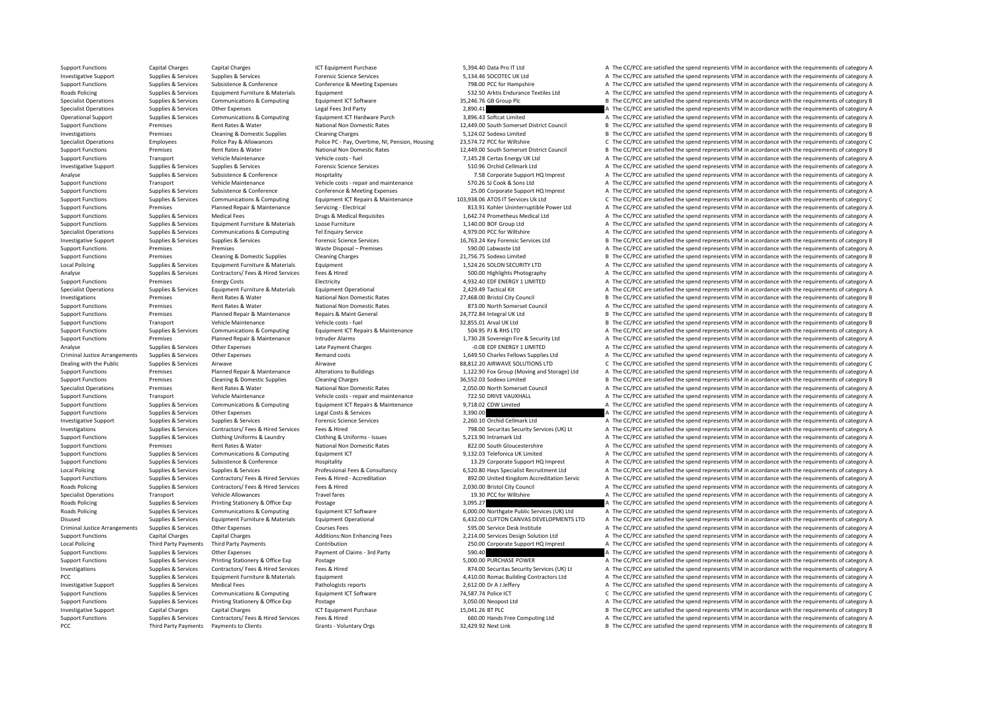Support Functions Capital Charges Capital Charges Scapital Charges ICT Equipment Purchase ICT Equipment Purchase 5,394.40 Data Pro IT Ltd A The CC/PCC are satisfied the spend represents VFM in accordance with the requireme Investigative Support Supplies & Services Supplies & Services Forensic Science Services Forensic Science Services 5,134.46 SOCOTEC UK Ltd A The CC/PCC are satisfied the spend represents VFM in accordance with the requireme Support Functions Supplies & Services Subsistence & Conference Conference & Meeting Expenses 798.00 PCC for Hampshire A The CC/PCC are satisfied the spend represents VFM in accordance with the requirements of category A Roads Policing Supplies Supplies & Services Equipment Eurniture & Materials Equipment Equipment Equipment Equipment Sacrossoft Supplies and Sacrossoft English and the spend represents VFM in accordance with the requirement Species Communications & Computing Equipment ICT Software 35,246.76 GB Group Plc B The CC/PCC are satisfied the spend represents VFM in accordance with the requirements of category B Interactions and the requirements of ca Specialist Operations Supplies & Services Other Expenses Legal Fees 3rd Party Legal Fees 3rd Party 2,890.41 2,890.41 2,890.41 A The CC/PCC are satisfied the spend represents VFM in accordance with the requirements of categ Operational Support Supplies & Services Communications & Computing Equipment ICT Hardware Purch 3,896.43 Softcat Limited A The CC/PCC are satisfied the spend represents VFM in accordance with the requirements of category A Support Functions Premises Rent Rates & Water National Non Domestic Rates 12,449.00 South Somerset District Council B The CC/PCC are satisfied the spend represents VFM in accordance with the requirements of category B Investigations Premises Cleaning & Domestic Supplies Cleaning Charges Cleaning Charges Cleaning Charges Cleaning Charges ST.124.02 Sodexo Limited B The CC/PCC are satisfied the spend represents VFM in accordance with the r Specialist Operations Employees Police Pay & Allowances Police PC - Pay, Overtime, NI, Pension, Housing 23,574.72 PCC for Wiltshire C The CC/PCC are satisfied the spend represents VFM in accordance with the requirements of Support Functions Premises Rent Rates & Water National Non Domestic Rates 12,449.00 South Somerset District Council B The CC/PCC are satisfied the spend represents VFM in accordance with the requirements of category B<br>Supp Support Functions Transport Vehicle Maintenance Vehicle costs fuel 7,145.28 Certas Energy UK Itd A The CC/PCC are satisfied the spend represents VFM in accordance with the requirements of category A Investigative Support Support Support Support Support Support Support Support Support Support Support Support Support Support Support Support Support Support Support Support Support Support Support Support Support Support Analyse Supplies & Services Subsistence & Conference Hospitality Hospitality 7.58 Corporate Support HQ Imprest A The CC/PCC are satisfied the spend represents VFM in accordance with the requirements of category A Support Functions Transport Vehicle Maintenance Vehicle costs - repair and maintenance 570.26 SJ Cook & Sons Ltd A The CC/PCC are satisfied the spend represents VFM in accordance with the requirements of category A Support Functions Supplies & Services Subsistence & Conference Conference Conference Conference A Conference Conference Conference Conference Conference Conference Conference Conference Conference Conference Conference A C Support Functions Supporters & Communications & Communications & Communications & Communications & Communications & Communications & Communications & Communications & Communications & Communications & Communications & Comm Support Functions Premises Planned Repair & Maintenance Servicing - Electrical 813.91 Kohler Uninterruptible Power Ltd A The CC/PCC are satisfied the spend represents VFM in accordance with the requirements of category A Support Functions Supplies & Services Medical Fees Drugs & Medical Requisites Drugs A The CC/PCC are satisfied the spend represents VFM in accordance with the requirements of category A Support Functions Supplies & Services Equipment Furniture & Materials Loose Furniture Loose Furniture 1,140.00 BOF Group Ltd A The CC/PCC are satisfied the spend represents VFM in accordance with the requirements of catego Specialist Operations Supplies & Services Communications & Computing Tel Enquiry Service 4,979.00 PCC for Wiltshire A The CC/PCC are satisfied the spend represents VFM in accordance with the requirements of category A Investigative Support Supplies & Services Supplies & Services Forensic Science Services Forensic Science Services Forensic Science Services and the Magnetic Science Services (16,763.24 Key Forensic Services Ltd B The CC/PC Support Functions Premises Premises Premises Support Premises Support Functions and the CC/PCC are satisfied the spend represents VFM in accordance with the requirements of category A Support Functions Premises Cleaning & Domestic Supplies Cleaning Charges Cleaning Charges Cleaning Charges Cleaning Charges 21,756.75 Sodexo Limited B The CC/PCC are satisfied the spend represents VFM in accordance with th Equipment Furniture A Service Supplies A Service Equipment Furniture A The CC/PCC are satisfied the spend represents VFM in accordance with the requirements of category A Analyse Supplies & Services Contractors/ Fees & Hired Services Fees & Hired Services Fees & Hired Services Fees & Hired Services Fees & Hired Services Services Services Fees & Hired Services Fees & Hired Services Services Support Functions Premises Energy Costs Electricity Electricity A The CC/PCC are satisfied the spend represents VFM in accordance with the requirements of category A Specialist Operations Supplies & Services Equipment Furniture & Materials Equipment Operational Equipment Operational 2,429.49 Tactical Kit A The CC/PCC are satisfied the spend represents VFM in accordance with the require Investigations Premises Rent Rates & Water National Non Domestic Rates 27,468.00 Bristol City Council B The CC/PCC are satisfied the spend represents VFM in accordance with the requirements of category B Support Functions Premises Rent Rates & Water National Non Domestic Rates 873.00 North Somerset Council A The CC/PCC are satisfied the spend represents VFM in accordance with the requirements of category A Support Functions Premises Planned Repair & Maintenance Repairs & Maint General 24,777.84 Integral UK Ltd B The CC/PCC are satisfied the spend represents VFM in accordance with the requirements of category B Support Functions Transport Vehicle Maintenance Vehicle Costs – fuel Vehicle costs – fuel 32,855.01 Arval UK Ltd B The CC/PCC are satisfied the spend represents VFM in accordance with the requirements of category B Support Support Functions Supplies & Services Communications & Computing Equipment ICT Repairs & Maintenance 504.95 PJ & RHS LTD A The CC/PCC are satisfied the spend represents VFM in accordance with the requirements of category A Support Functions Premises Planned Repair & Maintenance Intruder Alarms 1,730.28 Sovereign Fire & Security Ltd A The CC/PCC are satisfied the spend represents VFM in accordance with the requirements of category A The A The Analyse Supplies & Services Other Expenses Late Payment Charges A The COR EDF ENERGY 1 LIMITED A The CC/PCC are satisfied the spend represents VFM in accordance with the requirements of category A Criminal Justice Arrangements Supplies & Services Other Expenses Remand costs Remand costs 1,649.50 Charles Fellows Supplies Ltd A The CC/PCC are satisfied the spend represents VFM in accordance with the requirements of ca Dealing with the Public Supplies & Services Airwave Airwave Airwave Airwave Airwave Airwave Airwave Airwave Airwave Airwave Airwave Airwave Airwave Airwave Airwave and Airwave and the sound the CAC of the CC/PCC are satisf Support Functions Premises Planned Repair & Maintenance Alterations to Buildings 1,122.90 Fox Group (Moving and Storage) Ltd A The CC/PCC are satisfied the spend represents VFM in accordance with the requirements of catego Support Functions Premises Cleaning & Domestic Supplies Cleaning Charges Cleaning Charges 36,552.03 Sodexo Limited B The CC/PCC are satisfied the spend represents VFM in accordance with the requirements of category B Specialist Operations Premises Rent Rates & Water National Non Domestic Rates 2,050.00 North Somerset Council A The CC/PCC are satisfied the spend represents VFM in accordance with the requirements of category A The Counci Support Functions Transport Vehicle Maintenance Vehicle Costs - repair and maintenance 722.50 DRIVE VAUXHALL A The CC/PCC are satisfied the spend represents VFM in accordance with the requirements of category A The COST of A The CC/PCC are satisfied the spend represents VFM in accordance with the requirements of category A Support Functions Supplies & Services Other Expenses Legal Costs & Services 2,390.00 A The CC/PCC are satisfied the spend represents VFM in accordance with the requirements of category A Investigative Support Supplies & Services Supplies & Services Forensic Science Services Forensic Science Services 2,260.10 Orchid Cellmark Ltd A The CC/PCC are satisfied the spend represents VFM in accordance with the requ Investigations Supplies & Supplies & Services Contractors/Fees & Hired Services Fees & Hired Services Fees & Hired Services Fees & Hired Services Contractors/Fees & Hired Services Fees & Hired Supplies & Supplies & Service A The CC/PCC are satisfied the spend represents VFM in accordance with the requirements of category A Support Functions Premises Rent Rates & Water National Non Domestic Rates 822.00 South Gloucestershire A The CC/PCC are satisfied the spend represents VFM in accordance with the requirements of category A Support Functions Supplies & Services Communications & Computing Equipment ICT 9,132.03 Telefonica UK Limited A The CC/PCC are satisfied the spend represents VFM in accordance with the requirements of category A Support Functions Supplies & Services Subsistence & Conference Hospitality Hospitality 13.29 Corporate Support HQ Imprest A The CC/PCC are satisfied the spend represents VFM in accordance with the requirements of category Local Policing Supplies & Services Supplies & Services Professional Fees & Consultancy 6,520.80 Hays Specialist Recruitment Ltd A The CC/PCC are satisfied the spend represents VFM in accordance with the requirements of cat Support Functions Supplies & Services Contractors/ Fees & Hired Services Fees & Hired - Accreditation Service and the Support Fees Are and the CO/PCC are satisfied the spend represents VFM in accordance with the requiremen Roads Policing Supplies & Services Contractors/ Fees & Hired Services Fees & Hired 2,030.00 Bristol City Council A The CC/PCC are satisfied the spend represents VFM in accordance with the requirements of category A The cri Specialist Operations Transport Vehicle Allowances Travel fares 19.30 PCC for Wiltshire A The CC/PCC are satisfied the spend represents VFM in accordance with the requirements of category A Roads Policing Supplies & Services Printing Stationery & Office Exp Postage 3,095.27 3,095.27 A The CC/PCC are satisfied the spend represents VFM in accordance with the requirements of category A Roads Policing Supplies & Supplies & Supplies & Supplies Communications & Computing Equipment ICT Software Equipment ICT Software 6,000.00 Northgate Public Services (UK) Ltd A The CC/PCC are satisfied the spend represents Disused Supplies & Services Equipment Furniture & Materials Equipment Operational Equipment Operational 6,432.00 CLIFTON CANVAS DEVELOPMENTS LTD A The CC/PCC are satisfied the spend represents VFM in accordance with the re Criminal Justice Arrangements Supplies & Services Other Expenses Courses Fees Courses Fees 595.00 Service Desk Institute A The CC/PCC are satisfied the spend represents VFM in accordance with the requirements of category A Support Functions Capital Charges Capital Charges Additions:Non Enhancing Fees 2,214.00 Services Design Solution Ltd A The CC/PCC are satisfied the spend represents VFM in accordance with the requirements of category A Local Policing Third Party Payments Third Party Payments 250.00 Contribution 250.00 Corporate Support HQ Imprest A The CC/PCC are satisfied the spend represents VFM in accordance with the requirements of category A Support Functions Supplies & Services Other Expenses Payment of Claims - 3rd Party 590.40 590.40 A The CC/PCC are satisfied the spend represents VFM in accordance with the requirements of category A Support Functions Supplies & Services Printing Stationery & Office Exp Postage Protage 5,000.00 PURCHASE POWER A The CC/PCC are satisfied the spend represents VFM in accordance with the requirements of category A Investigations Supplies & Services Contractors/ Fees & Hired Services Fees & Hired Material Presed Hired Materia State and Batalon State and Batalon State (UK) Lt A The CC/PCC are satisfied the spend represents VFM in acco PCC Supplies & Services Equipment Furniture & Materials Equipment A The CALLOD Romac Building Contractors Ltd A The CC/PCC are satisfied the spend represents VFM in accordance with the requirements of category A Investigative Support Supplies & Services Medical Fees Pathologists reports Pathologists reports 2,612.00 Dr A J Jeffery A The CC/PCC are satisfied the spend represents VFM in accordance with the requirements of category A Support Functions Supplies & Services Communications & Computing Equipment ICT Software 74,587.74 Police ICT C The CC/PCC are satisfied the spend represents VFM in accordance with the requirements of category C Postage **Supplies A The CC/PCC** are satisfied the spend represents VFM in accordance with the requirements of category A Investigative Support Capital Charges Capital Charges Capital Charges ICT Equipment Purchase 15,041.26 BT PLC B The CC/PCC are satisfied the spend represents VFM in accordance with the requirements of category B Support Functions Supplies & Services Contractors/ Fees & Hired Services Fees & Hired 660.00 Hands Free Computing Ltd A The CC/PCC are satisfied the spend represents VFM in accordance with the requirements of category A PCC Third Party Payments Payments to Clients Grants - Voluntary Orgs Grants - Voluntary Orgs 32,429.92 Next Link B The CC/PCC are satisfied the spend represents VFM in accordance with the requirements of category B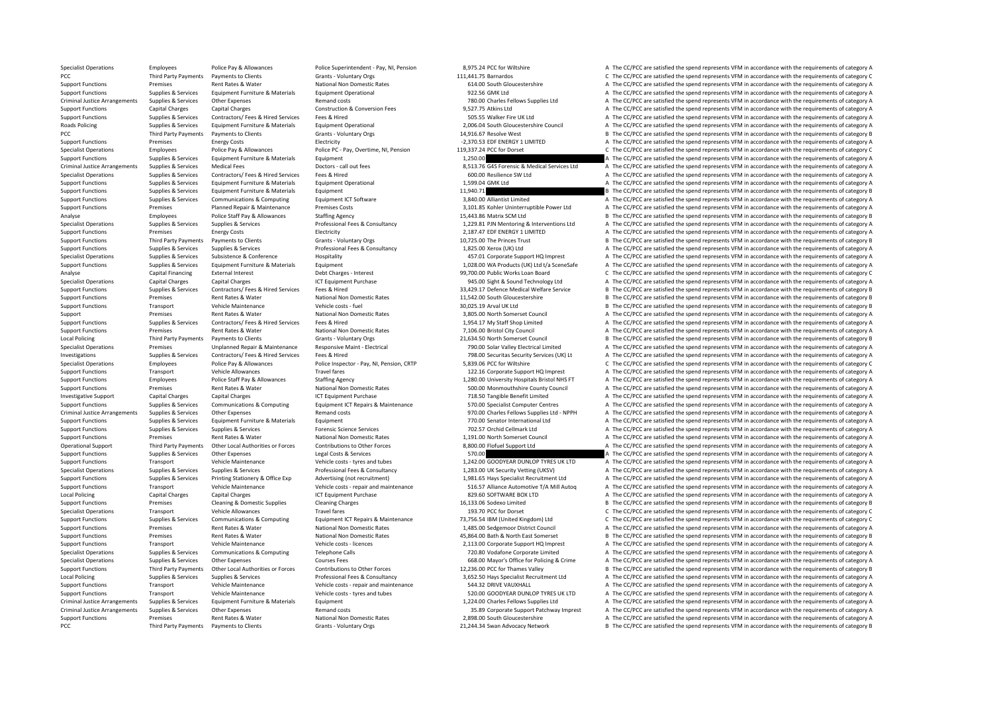Specialist Operations Employees Police Pay & Allowances Police Superintendent - Pay, NJ, Pension 8,975.24 PCC for Wiltshire A The CC/PCC are satisfied the spend represents VFM in accordance with the requirements of categor

PCC The CC/PCC are satisfied the spend represents VFM in accordance with the requirements of category C Grants Crants - Voluntary Orgs 111,441.75 Barnardos C The CC/PCC are satisfied the spend represents VFM in accordance Support Functions Premises Rent Rates Review National Non Domestic Rates 614.00 South Gloucestershire A The CC/PCC are satisfied the spend represents VFM in accordance with the requirements of category A The Crime of categ Support Functions Supplies & Services Equipment Furniture & Materials Equipment Operational Equipment Operational 922.56 GMK Ltd A The CC/PCC are satisfied the spend represents VFM in accordance with the requirements of ca Criminal Justice Arrangements Supplies & Services Other Expenses Remand costs Remand costs 780.00 Charles Fellows Supplies Ltd A The CC/PCC are satisfied the spend represents VFM in accordance with the requirements of cate Support Functions Capital Charges Capital Charges Construction & Conversion Fees 9,527.75 Atkins Ltd A The CC/PCC are satisfied the spend represents VFM in accordance with the requirements of category A Support Functions Supplies & Services Contractors/ Fees & Hired Services Fees & Hired Hired Services Fees & Hired Services Fees & Hired A The CC/PCC are satisfied the spend represents VFM in accordance with the requirement Sunnies & Services Foujoment Furniture & Materials Foujoment Operational 2.006.04 South Gloucestershire Council A The CC/PCC are satisfied the spend represents VFM in accordance with the requirements of category A PCC Third Party Payments Payments to Clients Grants - Voluntary Orgs Grants - Voluntary Orgs 14,916.67 Resolve West B The CC/PCC are satisfied the spend represents VFM in accordance with the requirements of category B Support Functions Premises Energy Costs Electricity Electricity Electricity Electricity Electricity entitled a the CC/PCC are satisfied the spend represents VFM in accordance with the requirements of category A Specialist Operations Employees Police Pay & Allowances Police PC - Pay, Overtime, NI, Pension 119,337.24 PCC for Dorset C The CC/PCC are satisfied the spend represents VFM in accordance with the requirements of category C Support Functions Supplies & Services Equipment Functions & Materials Equipment 1,250.00 1,250.00 A The CC/PCC are satisfied the spend represents VFM in accordance with the requirements of category A Criminal Justice Arrangements Supplies & Services Medical Fees Doctors-call out fees Doctors Call Dustice Arrangements Supplies & Services Medical Fees Doctors-call out fees 8 Alica Contractors (Face & Hired Services Face Specialist Operations Supplies & Services Contractors/ Fees & Hired Services Fees & Hired Services Fees & Hired 600.00 Resilience SW Ltd A The CC/PCC are satisfied the spend represents VFM in accordance with the requiremen Support Functions Supplies & Services Equipment Furniture & Materials Equipment Operational Equipment Operational 1,599.04 GMK Ltd A The CC/PCC are satisfied the spend represents VFM in accordance with the requirements of Support Functions Supplies & Services Equipment Furniture & Materials Equipment 11,940.71 11,940.71 B The CC/PCC are satisfied the spend represents VFM in accordance with the requirements of category B Support Functions Supplies & Services Communications & Computing Equipment ICT Software Equipment CT Software 3,840.00 Alliantist Limited A The CC/PCC are satisfied the spend represents VFM in accordance with the requireme Support Functions Premises Planned Repair & Maintenance Premises Costs 3,101.85 Kohler Uninterruptible Power Ltd A The CC/PCC are satisfied the spend represents VFM in accordance with the requirements of category A Analyse Employees Police Staff Pay & Allowances Staffing Agency Staff Pay and the spend of the CC/PCC are satisfied the spend represents VFM in accordance with the requirements of category B and the requirements of categor Supplies & Supplies & Services Supplies & Services Supplies & Services Professional Fees & Consultancy 1,229.81 PIN Mentoring & Interventions Ltd A The CC/PCC are satisfied the spend represents VFM in accordance with the r Electricity Electricity 2,187.47 FDF ENERGY 1 LIMITED A The CC/PCC are satisfied the spend represents VFM in accordance with the requirements of category A Support Functions Third Party Payments to Clients Grants Voluntary Orgs 10,725.00 The Princes Trust B The CC/PCC are satisfied the spend represents VFM in accordance with the requirements of category B Support Functions Support Support Supplies & Services Supplies Professional Fees & Consultancy 1,825.00 Xerox (UK) Itd A The CC/PCC are satisfied the spend represents VFM in accordance with the requirements of category A Specialist Operations Supplies & Services Subsistence & Conference Hospitality Hospitality and the Support HQ Imprest A The CC/PCC are satisfied the spend represents VFM in accordance with the requirements of category A Th Equipment contacts and the control of the CC/PCC are satisfied the spend represents VFM in accordance with the requirements of category A Analyse Capital Financing External Interest Debt Charges - Interest Debt Charges interest 99,700.00 Public Works Loan Board C The CC/PCC are satisfied the spend represents VFM in accordance with the requirements of categor Specialist Operations Capital Charges Capital Charges Capital Charges ICT Equipment Purchase 12 945.00 Sight & Sound Technology Ltd A The CC/PCC are satisfied the spend represents VFM in accordance with the requirements of Support Functions Supplies & Services Contractors/ Fees & Hired Services Fees & Hired Hired Mestical Medical Melfare Service Bunder are attacked by the CC/PCC are satisfied the spend represents VFM in accordance with the r B The CC/PCC are satisfied the spend represents VFM in accordance with the requirements of category B Support Functions Transport Vehicle Maintenance Vehicle costs – fuel Vehicle costs – fuel 30,025.19 Arval UK Ltd B The CC/PCC are satisfied the spend represents VFM in accordance with the requirements of category B Support Premises Rent Rates & Water National Non Domestic Rates 3,805.00 North Somerset Council A The CC/PCC are satisfied the spend represents VFM in accordance with the requirements of category A Support Functions Supplies & Services Contractors/ Fees & Hired Services Fees & Hired Hired 1,954.17 My Staff Shop Limited A The CC/PCC are satisfied the spend represents VFM in accordance with the requirements of category A The CC/PCC are satisfied the spend represents VFM in accordance with the requirements of category A Local Policing Third Party Payments Payments to Clients Grants Voluntary Orgs 21,634.50 North Somerset Council B The CC/PCC are satisfied the spend represents VFM in accordance with the requirements of category B Specialist Operations Premises Unplanned Repair & Maintenance Responsive Maint - Flectrical 790.00 Solar Valley Flectrical imited A The CC/PCC are satisfied the spend represents VFM in accordance with the requirements of c Investigations Supplies & Services Contractors/ Fees & Hired Services Fees & Hired The CONSULLER CONSULT A The CC/PCC are satisfied the spend represents VFM in accordance with the requirements of category A Specialist Operations Employees Police Pay & Allowances Police Inspector - Pay, NI, Pension, CRTP 5,839.06 PCC for Wiltshire CC/PCC are satisfied the spend represents VFM in accordance with the requirements of category C Support Functions Transport Vehicle Allowances Travel fares Travel fares 122.16 Corporate Support HQ Imprest A The CC/PCC are satisfied the spend represents VFM in accordance with the requirements of category A Support HQ Support Functions Employees Police Staff Pay & Allowances Staffing Agency 1,280.00 University Hospitals Bristol NHS FT A The CC/PCC are satisfied the spend represents VFM in accordance with the requirements of category A Support Functions Premises Rent Rates & Water National Non Domestic Rates 500.00 Monmouthshire County Council A The CC/PCC are satisfied the spend represents VFM in accordance with the requirements of category A Investigative Support Capital Charges Capital Charges ICT Equipment Purchase 718.50 Tangible Benefit Limited A The CC/PCC are satisfied the spend represents VFM in accordance with the requirements of category A Supplies & Services Communications & Computing Equipment ICT Repairs & Maintenance 570.00 Specialist Computer Centres A The CC/PCC are satisfied the spend represents VFM in accordance with the requirements of category A Th Criminal Justice Arrangements Supplies & Services Other Expenses Remand costs Remand costs 970.00 Charles Fellows Supplies Ltd - NPPH A The CC/PCC are satisfied the spend represents VFM in accordance with the requirements Support Functions Supplies & Services Equipment Furniture & Materials Equipment Purinture & Materials Equipment 770.00 Senator International Ltd A The CC/PCC are satisfied the spend represents VFM in accordance with the re Support Functions Supplies & Services Supplies & Services Forensic Science Services Forensic Science Services 702.57 Orchid Cellmark Ltd A The CC/PCC are satisfied the spend represents VFM in accordance with the requiremen A The CC/PCC are satisfied the spend represents VFM in accordance with the requirements of category A Operational Support Third Party Payments Other Local Authorities or Forces Contributions to Other Forces A 8,800.00 Flofuel Support Ltd A The CC/PCC are satisfied the spend represents VFM in accordance with the requirement Support Functions Supplies & Services Other Expenses Legal Costs & Services Legal Costs & Services Legal Costs & Services 570.00 A The CC/PCC are satisfied the spend represents VFM in accordance with the requirements of ca Support Functions Transport Vehicle Maintenance Vehicle costs – tyres and tubes 1,242.00 GOODYEAR DUNLOP TYRES UK LTD A The CC/PCC are satisfied the spend represents VFM in accordance with the requirements of category A Supplies & Supplies & Services Supplies & Services Professional Fees & Consultancy 1,283.00 UK Security Vetting (UKSV) A The CC/PCC are satisfied the spend represents VFM in accordance with the requirements of category A Supplies & Services Printing Stationery & Office Exp Advertising (not recruitment) 1.981.65 Havs Specialist Recruitment Ltd A The CC/PCC are satisfied the spend represents VFM in accordance with the requirements of categor Support Eurotions Transport Vehicle Maintenance Vehicle costs-repair and maintenance 516.57 Alliance Automotive T/A Mill Autoq A The CC/PCC are satisfied the spend represents VFM in accordance with the requirements of cate Local Policing Capital Charges Capital Charges Capital Charges ICT Equipment Purchase 829.60 SOFTWARE BOX LTD A The CC/PCC are satisfied the spend represents VFM in accordance with the requirements of category A Support Functions Premises Cleaning & Domestic Supplies Cleaning Charges Cleaning Charges 16,133.06 Sodexo Limited B The CC/PCC are satisfied the spend represents VFM in accordance with the requirements of category B Specialist Operations Transport Vehicle Allowances Travel fares Travel fares Travel fares 193.756.54 IBM (United Kingdom) Ltd C The CC/PCC are satisfied the spend represents VFM in accordance with the requirements of categ Support Functions Supplies & Services Communications & Computing Equipment ICT Repairs & Maintenance 73,756.54 IBM (United Kingdom) Ltd C The CC/PCC are satisfied the spend represents VFM in accordance with the requirement Support Functions Premises Rent Rates & Water National Non Domestic Rates 1,485.00 Sedgemoor District Council A The CC/PCC are satisfied the spend represents VFM in accordance with the requirements of category A Support Functions Premises Rent Rates & Water National Non Domestic Rates 45,864.00 Bath & North East Somerset B The CC/PCC are satisfied the spend represents VFM in accordance with the requirements of category B Support Functions Transport Vehicle Maintenance Vehicle costs - licences 2.113.00 Corporate Support HQ Imprest A The CC/PCC are satisfied the spend represents VFM in accordance with the requirements of category A Specialist Operations Supplies & Services Communications & Computing Telephone Calls 720.80 Vodafone Corporate Limited A The CC/PCC are satisfied the spend represents VFM in accordance with the requirements of category A Specialist Operations Supplies & Services Other Expenses Courses Fees Courses Fees 668.00 Mayor's Office for Policing & Crime A The CC/PCC are satisfied the spend represents VFM in accordance with the requirements of categ Support Functions Third Party Payments Other Local Authorities or Forces Contributions to Other Forces Support<br>
Support Support Support Support Support Support of the requirements of category B<br>
1999-1999 Professional Fees Local Policing Supplies & Services Supplies & Services Supplies & Services Professional Fees & Consultancy 3,652.50 Hays Specialist Recruitment Ltd A The CC/PCC are satisfied the spend represents VFM in accordance with the Support Functions Transport Vehicle Maintenance Vehicle costs - repair and maintenance 544.32 DRIVE VAUXHALL A The CC/PCC are satisfied the spend represents VFM in accordance with the requirements of category A Support Functions Transport Vehicle Maintenance Vehicle Costs – tyres and tubes 520.00 GOODYEAR DUNLOP TYRES UK LTD A The CC/PCC are satisfied the spend represents VFM in accordance with the requirements of category A Crim A The CC/PCC are satisfied the spend represents VFM in accordance with the requirements of category A Criminal Justice Arrangements Supplies & Services Other Expenses 2007 Arrangend Costs Bemand costs Remand costs Remand costs and costs and the Support Patchway Imprest A The CC/PCC are satisfied the spend represents VFM in Support Functions Premises Rent Rates & Water National Non Domestic Rates 2,898.00 South Gloucestershire A The CC/PCC are satisfied the spend represents VFM in accordance with the requirements of category A PCC Third Party Payments Payments to Clients Grants - Voluntary Orgs Grants - Voluntary Orgs 21,244.34 Swan Advocacy Network B The CC/PCC are satisfied the spend represents VFM in accordance with the requirements of catego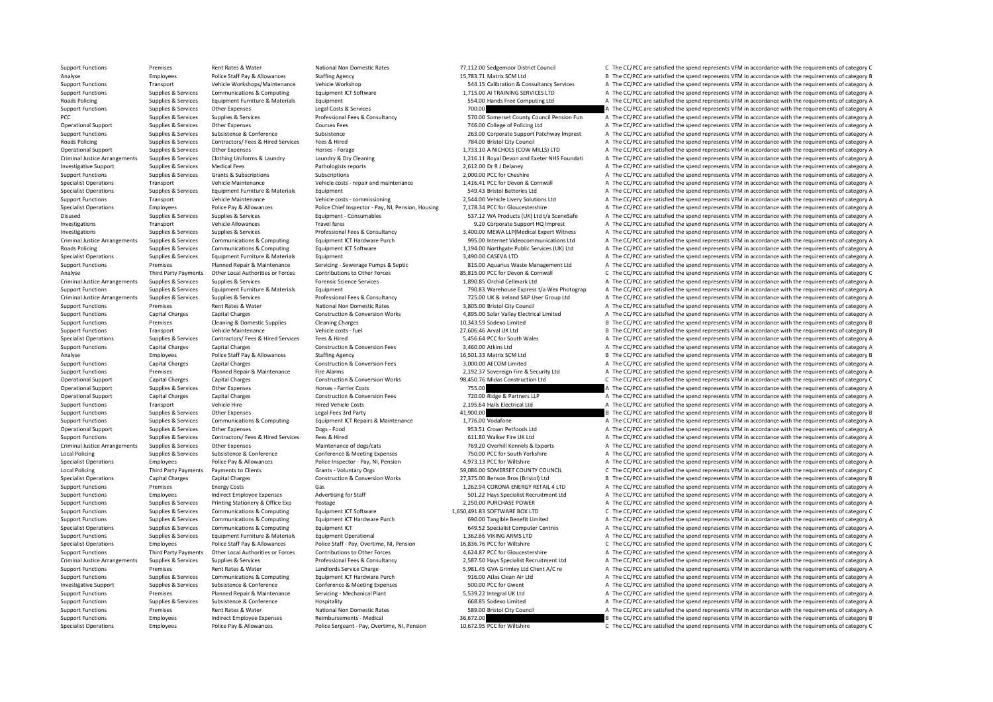Support Functions Premises Rent Rates & Water National Non Domestic Rates 77,112.00 Sedgemoor District Council C The CC/PCC are satisfied the spend represents VFM in accordance with the requirements of category C Analyse Employees Police Staff Pay & Allowances Staffing Agency 15,783.71 Matrix SCM Ltd B The CC/PCC are satisfied the spend represents VFM in accordance with the requirements of category B Support Functions Transport Vehicle Workshops/Maintenance Vehicle Workshop Support Vehicle Workshop Support Punction and the CC/PCC are satisfied the spend represents VFM in accordance with the requirements of category A S Support Functions Supplies & Services Communications & Computing Equipment ICT Software 1,715.00 AI TRAINING SERVICES LTD A The CC/PCC are satisfied the spend represents VFM in accordance with the requirements of category Roads Policing Supplies & Services Equipment Furniture & Materials Equipment 554.00 Hands Free Computing Ltd A The CC/PCC are satisfied the spend represents VFM in accordance with the requirements of category A Support Functions Supplies & Services Other Expenses Legal Costs & Services Presents A The CC/PCC are satisfied the spend represents VFM in accordance with the requirements of category A PCC Supplies & Services Supplies & Services Professional Fees & Consultancy 570.00 Somerset County Council Pension Fun A The CC/PCC are satisfied the spend represents VFM in accordance with the requirements of category A Operational Support Courses Support Support Support Support Support Other Expenses Courses Fees Courses Fees 746.00 College of Policing Itd A The CC/PCC are satisfied the spend represents VFM in accordance with the require Support Functions Supportes Subsistence Subsistence Subsistence Subsistence Subsistence Support Patchway Imprest A The CC/PCC are satisfied the spend represents VFM in accordance with the requirements of category A Roads Policing Supplies & Services Contractors/ Fees & Hired Services Fees & Hired The Material 2011 Council 784.00 Bristol City Council A The CC/PCC are satisfied the spend represents VFM in accordance with the requiremen Operational Support Supplies & Services Other Expenses Horses - Forage Horses - Forage 1,733.10 A NICHOLS (COW MILLS) LTD A The CC/PCC are satisfied the spend represents VFM in accordance with the requirements of category Criminal lustice Arrangements Sunnlies & Services Clothing Uniforms & Laundry Laundry A Dry Cleaning and Catagory A 121611 Royal Devon and Exeter NHS Foundati A The CC/PCC are satisfied the spend represents VEM in accordan Investigative Support Support Support Supporters Medical Fees Pathologists reports Pathologists reports 2,612.00 Dr R J Delaney A The CC/PCC are satisfied the spend represents VFM in accordance with the requirements of cat Support Functions Supplies & Services Grants & Subscriptions Subscriptions Subscriptions Subscriptions 2,000.00 PCC for Cheshire A The CC/PCC are satisfied the spend represents VFM in accordance with the requirements of ca Specialist Operations Transport Vehicle Maintenance Vehicle Costs - repair and maintenance Vehicle costs - repair and maintenance 1,416.41 PCC for Devon & Cornwall A The CC/PCC are satisfied the spend represents VFM in acc Specialist Operations Supplies & Services Equipment Furniture & Materials Equipment Equipment Supplies A The CC/PCC are satisfied the spend represents VFM in accordance with the requirements of category A Support Functions Transport Vehicle Maintenance Vehicle costs – commissioning 2,544.00 Vehicle Livery Solutions Ltd A The CC/PCC are satisfied the spend represents VFM in accordance with the requirements of category A Specialist Operations Employees Police Pay & Allowances Police Chief Inspector - Pay, NI, Pension, Housing 7,178.34 PCC for Gloucestershire A The CC/PCC are satisfied the spend represents VFM in accordance with the require Disused Supplies & Services Supplies & Services Equipment - Consumables Equipment - Consumables 537.12 WA Products (UK) Ltd t/a SceneSafe A The CC/PCC are satisfied the spend represents VFM in accordance with the requireme Investigations Transport Vehicle Allowances Travel fares Travel fares Travel fares and the section of the CORPORATE A The CC/PCC are satisfied the spend represents VFM in accordance with the requirements of category A Inve Investigations Suppliers & Services Suppliers & Services Professional Fees & Consultancy 3.400.00 MFWA LIP/Medical Expert Witness A The CC/PCC are satisfied the spend represents VFM in accordance with the requirements of c Criminal Justice Arrangements Supplies & Services Communications & Computing Equipment ICT Hardware Purch 995.00 Internet Videocommunications Ltd A The CC/PCC are satisfied the spend represents VFM in accordance with the r Roads Policing Supplies & Supplies & Services Communications & Computing Equipment ICT Software Equipment ICT Software 1.194.00 Northeate Public Services (UK) Ltd A The CC/PCC are satisfied the spend represents VFM in acco Specialist Operations Supplies & Services Equipment Eurniture & Materials Equipment Equipment Equipment and Septement and the CC/PCC are satisfied the spend represents VFM in accordance with the requirements of category A A The CC/PCC are satisfied the spend represents VFM in accordance with the requirements of category A Third Party Payments Other Local Authorities or Forces Contributions to Other Forces SE 25.215.00 PCC for Devon & Cornwall C The CC/PCC are satisfied the soend reoresents VFM in accordance with the requirements of category Criminal Justice Arrangements Supplies & Services Supplies & Services Forensic Science Services Forensic Science Services Forensic Science Services Forensic Science Services 1,890.85 Orchid Cellmark Ltd A The CC/PCC are sa Support Functions Supplies & Services Equipment Furniture & Materials Equipment Equipment Equipment Functions Express Equipment 790.83 Warehouse Express t/a Wex Photograp A The CC/PCC are satisfied the spend represents VFM A The CC/PCC are satisfied the spend represents VFM in accordance with the requirements of category A Support Functions Premises Rent Rates & Water National Non Domestic Rates 3,805.00 Bristol City Council A The CC/PCC are satisfied the spend represents VFM in accordance with the requirements of category A Support Functions Capital Charges Capital Charges Construction & Conversion Works 4,895.00 Solar Valley Electrical Limited A The CC/PCC are satisfied the spend represents VFM in accordance with the requirements of category Support Functions Premises Cleaning & Domestic Supplies Cleaning Charges Cleaning Charges Cleaning Charges Cleaning Charges 10,343.59 Sodexo Limited B The CC/PCC are satisfied the spend represents VFM in accordance with th B The CC/PCC are satisfied the spend represents VFM in accordance with the requirements of category B Specialist Operations Supplies & Services Contractors/ Fees & Hired Services Fees & Hired Hired Fees & Hired Services Fees & Hired Services Fees & Hired Services Supplies A The CC/PCC are satisfied the spend represents VFM Support Functions Capital Charges Capital Charges Construction & Conversion Fees 3,460.00 Atkins Ltd A The CC/PCC are satisfied the spend represents VFM in accordance with the requirements of category A Analyse Employees Police Staff Pay & Allowances Staffing Agency Staff Pay and the Stategory B The CC/PCC are satisfied the spend represents VFM in accordance with the requirements of category B Support Functions Capital Charges Capital Charges Construction & Construction & Conversion Fees 3,000,00 AECOM Limited A The CC/PCC are satisfied the spend represents VFM in accordance with the requirements of category A Support Functions Premises Planned Repair & Maintenance Fire Alarms 2,192.37 Sovereign Fire & Security Ltd A The CC/PCC are satisfied the spend represents VFM in accordance with the requirements of category A Construction Operational Support Capital Charges Capital Charges Construction & Conversion Works 98,450.76 Midas Construction Ltd C The CC/PCC are satisfied the spend represents VFM in accordance with the requirements of category C Operational Support Supplies & Services Other Expenses Horses - Farrier Costs 755.00 755.00 A The CC/PCC are satisfied the spend represents VFM in accordance with the requirements of category A Operational Support Capital Charges Capital Charges Capital Charges Capital Charges Capital Charges Capital Charges Capital Charges Capital Charges Capital Charges Capital Charges Capital Charges Capital Charges Constructi Experiment Support Vehicle Hire Presents of category A The CC/PCC are satisfied the spend represents VFM in accordance with the requirements of category A The Support Vehicle Hire Presents VFM in accordance with the requir Support Functions Supplies & Services Other Expenses Legal Fees 3rd Party 41,900.00 A The CC/PCC are satisfied the spend represents VFM in accordance with the requirements of category B Support Functions Supplies & Services Communications & Computing Equipment ICT Repairs & Maintenance 1,776.00 Vodafone A The CC/PCC are satisfied the spend represents VFM in accordance with the requirements of category A Operational Support Supplies & Services Other Expenses Dogs - Food Dogs - Food 953.51 Crown Petfoods Ltd A The CC/PCC are satisfied the spend represents VFM in accordance with the requirements of category A The Crown Petfo Support Functions Supplies & Services Contractors/ Fees & Hired Services Fees & Hired Fees & Hired 611.80 Walker Fire UK Ltd A The CC/PCC are satisfied the spend represents VFM in accordance with the requirements of catego Criminal Justice Arrangements Supplies & Services Other Expenses Maintenance of dogs/cats Maintenance of dogs/cats 769.20 Overhill Kennels & Exports A The CC/PCC are satisfied the spend represents VFM in accordance with th Local Policing Supplies & Services Subsistence & Conference Conference Conference Conference Conference Conference A The CC/PCC are satisfied the spend represents VFM in accordance with the requirements of category A The C Specialist Operations Employees Police Pay & Allowances Police Inspector - Pay, NI, Pension 4,973.13 PCC for Wiltshire A The CC/PCC are satisfied the spend represents VFM in accordance with the requirements of category A Local Policing Third Party Payments Payments to Clients Grants - Voluntary Orgs Grants - Voluntary Orgs 59,086.00 SOMERSET COUNTY COUNCIL C The CC/PCC are satisfied the spend represents VFM in accordance with the requireme Specialist Operations Capital Charges Capital Charges Construction & Conversion Works 27,375.00 Benson Bros (Bristol) Ltd B The CC/PCC are satisfied the spend represents VFM in accordance with the requirements of category Support Functions Premises Energy Costs Gas Gas Gas 1,262.94 CORONA ENERGY RETAIL 4 LTD A The CC/PCC are satisfied the spend represents VFM in accordance with the requirements of category A Support Functions Employees Indirect Employee Expenses Advertising for Staff 501.22 Hays Specialist Recruitment Ltd A The CC/PCC are satisfied the spend represents VFM in accordance with the requirements of category A Support Functions Supplies & Services Printing Stationery & Office Exp Postage 2,250.00 PURCHASE POWER A The CC/PCC are satisfied the spend represents VFM in accordance with the requirements of category A Support Functions Supplies & Services Communications & Computing Equipment ICT Software 1,650,491.83 SOFTWARE BOX LTD C The CC/PCC are satisfied the spend represents VFM in accordance with the requirements of category C Su Support Functions Supplies & Services Communications & Computing Equipment ICT Hardware Purch 690.00 Tangible Benefit Limited A The CC/PCC are satisfied the spend represents VFM in accordance with the requirements of categ Specialist Operations Supplies & Services Communications & Computing Equipment ICT 649.52 Specialist Computer Centres A The CC/PCC are satisfied the spend represents VFM in accordance with the requirements of category A Support Functions Supplies & Services Equipment Furniture & Materials Equipment Operational Equipment Operational 1,362.66 VIKING ARMS LTD A The CC/PCC are satisfied the spend represents VFM in accordance with the requirem Specialist Operations Employees Employees Police Staff Pay & Allowances Police Staff - Pay, Overtime, NJ, Pension 16,836.76 PCC for Wiltshire COVERT EMPLOCATE CAPCC are satisfied the spend represents VFM in accordance with Support Functions Third Party Payments Other Local Authorities or Forces Contributions to Other Forces 4,624.87 PCC for Gloucestershire A The CC/PCC are satisfied the spend represents VFM in accordance with the requirement Criminal Justice Arrangements Supplies & Services Supplies & Services Professional Fees & Consultancy 2,587.50 Hays Specialist Recruitment Ltd A The CC/PCC are satisfied the spend represents VFM in accordance with the requ Support Functions Premises Rent Rates & Water Landlords Service Charge S.581.45 GVA Grimley Ltd Client A/C re A The CC/PCC are satisfied the spend represents VFM in accordance with the requirements of category A Support Functions Supplies & Services Communications & Computing Equipment ICT Hardware Purch 916.00 Atlas Clean Air Ltd A The CC/PCC are satisfied the spend represents VFM in accordance with the requirements of category A Investigative Support Supplies & Services Subsistence & Conference Conference & Meeting Expenses 500.00 PCC for Gwent A The CC/PCC are satisfied the spend represents VFM in accordance with the requirements of category A Support Functions Premises Planned Repair & Maintenance Servicing - Mechanical Plant Support Functions A The CC/PCC are satisfied the spend represents VFM in accordance with the requirements of category A The Critical Plan Support Functions Support Functions Support Functions A The CC/PCC are satisfied the spend represents VFM in accordance with the requirements of category A<br>A The CC/PCC are satisfied the spend represents VFM in accordance Support Functions Premises Rent Rates & Water National Non Domestic Rates 589.00 Bristol City Council A The CC/PCC are satisfied the spend represents VFM in accordance with the requirements of category A Support Functions Employees Indirect Employee Expenses Reimbursements - Medical 36,672.00 36,672.00 B The CC/PCC are satisfied the spend represents VFM in accordance with the requirements of category B Specialist Operations Employees Police Pay & Allowances Police Sergeant - Pay, Overtime, NI, Pension 10,672.95 PCC for Wiltshire C The CC/PCC are satisfied the spend represents VFM in accordance with the requirements of ca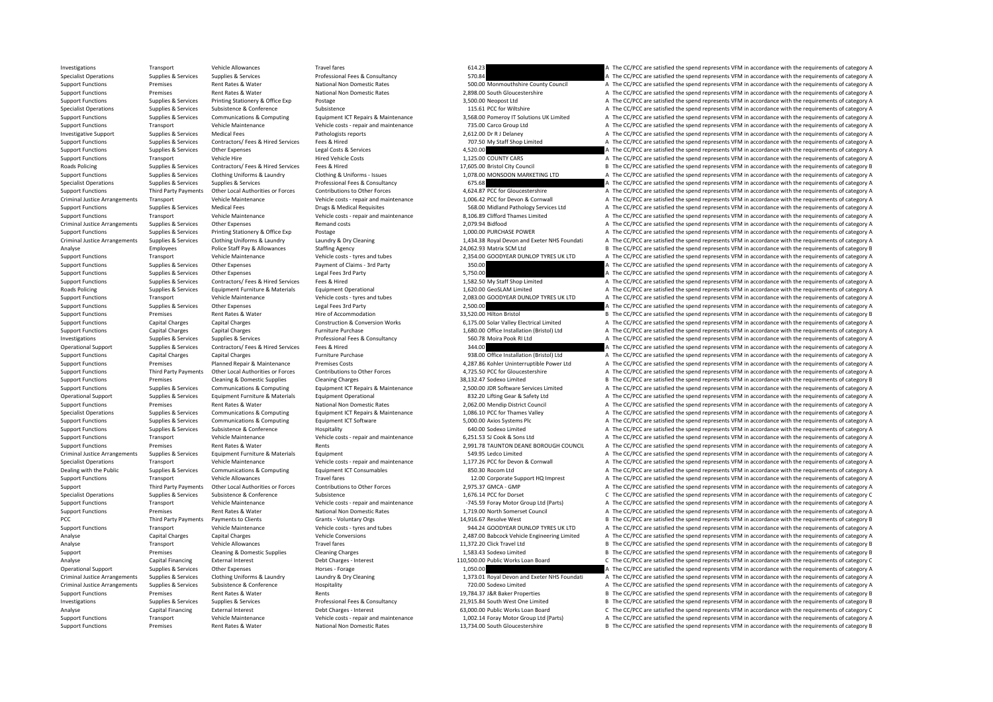Investigations Transport Vehicle Allowances Travel fares Travel fares and the spend the content of category and the requirements of category A The CC/PCC are satisfied the spend represents VFM in accordance with the requir Specialist Operations Supplies & Services Supplies & Services Supplies & Services Professional Fees & Consultancy 570.84 Supplies and the CC/PCC are satisfied the spend represents VFM in accordance with the requirements of Support Functions Premises Rent Rates & Water National Non Domestic Rates 500.00 Monmouthshire County Council A The CC/PCC are satisfied the spend represents VFM in accordance with the requirements of category A Support Functions Premises Premises Rent Rates & Water National Non Domestic Rates 2,898.00 South Gloucestershire A The CC/PCC are satisfied the spend represents VFM in accordance with the requirements of category A The CC Supplies & Services Printing Stationery & Office Exp Postage 3,500 Neopost Ltd 3,500.00 Neopost Ltd A The CC/PCC are satisfied the spend represents VFM in accordance with the requirements of category A Specialist Operations Supplies & Services Subsistence & Conference Subsistence Subsistence Subsistence Subsistence Subsistence Subsistence Subsistence Subsistence Subsistence Subsistence Subsistence Subsistence Subsistence Support Functions Supplies & Services Communications & Computing Equipment ICT Repairs & Maintenance 3,568.00 Pomeroy IT Solutions UK Limited A The CC/PCC are satisfied the spend represents VFM in accordance with the requi Support Functions Transport Vehicle Maintenance Vehicle costs - repair and maintenance 735.00 Carco Group Ltd A The CC/PCC are satisfied the spend represents VFM in accordance with the requirements of category A Investigative Support Support Support Support Medical Fees Pathologists reports Pathologists reports 2,612.00 Dr R J Delaney A The CC/PCC are satisfied the spend represents VFM in accordance with the requirements of catego Support Functions Supplies & Services Contractors/ Fees & Hired Services Fees & Hired The My Staff Shop Limited A The CC/PCC are satisfied the spend represents VFM in accordance with the requirements of category A Support Functions Supplies & Services Other Expenses Legal Costs & Services 4,520.00 4,520.00 A The CC/PCC are satisfied the spend represents VFM in accordance with the requirements of category A Support Functions Transport Vehicle Hire Hired Vehicle Costs Hired Vehicle Costs 1,125.00 COUNTY CARS A The CC/PCC are satisfied the spend represents VFM in accordance with the requirements of category A Roads Policing Supplies & Services Contractors/ Fees & Hired Services Fees & Hired Services Fees & Hired Services Fees & Hired Services Fees & Hired 17,605.00 Bristol City Council B The CC/PCC are satisfied the spend repre Suppliers & Services Clothing Uniforms & Laundry Clothing & Uniforms - Issues 1.078.00 MONSOON MARKETING LTD A The CC/PCC are satisfied the spend represents VEM in accordance with the requirements of category A Specialist Operations Supplies & Services Supplies & Services Professional Fees & Consultancy 675.68 A The CC/PCC are satisfied the spend represents VFM in accordance with the requirements of category A Support Functions Third Party Payments Other Local Authorities or Forces Contributions to Other Forces + 4,624.87 PCC for Gloucestershire + A The CC/PCC are satisfied the spend represents VFM in accordance with the require Criminal Justice Arrangements Transport Vehicle Maintenance Vehicle Maintenance Vehicle costs - repair and maintenance Vehicle costs - repair and maintenance 1.006.42 PCC for Devon & Cornwall A The CC/PCC are satisfied the Support Functions Supplies & Services Medical Fees Drugs & Medical Requisites Drugs & Medical Requisites Support Support Support A The CC/PCC are satisfied the spend represents VFM in accordance with the requirements of ca Support Functions Transport Vehicle Maintenance Vehicle costs ‐ repair and maintenance 8,106.89 Clifford Thames Limited A The CC/PCC are satisfied the spend represents VFM in accordance with the requirements of category A Criminal Justice Arrangements Supplies & Services Other Expenses A The mand costs Remand costs Remand costs Remand costs 2,079.94 Bidfood 2,079.94 Bidfood A The CC/PCC are satisfied the spend represents VFM in accordance w Support Functions Supplies & Services Printing Stationery & Office Exp Postage Principal Postage 1,000.00 PURCHASE POWER A The CC/PCC are satisfied the spend represents VFM in accordance with the requirements of category A Criminal Justice Arrangements Supplies & Services Clothing Uniforms & Laundry Mustary Laundry & Dry Cleaning Mustary 1,434.38 Royal Devon and Exeter NHS Foundati A The CC/PCC are satisfied the spend represents VFM in accor Analyse Employees Police Staff Pay & Allowances Staffing Agency 24,062.93 Matrix SCM Ltd B The CC/PC are satisfied the spend represents VFM in accordance with the requirements of category B Support Functions Transport Vehicle Maintenance Vehicle costs – tyres and tubes 2,354.00 GOODYEAR DUNLOP TYRES UK LTD A The CC/PCC are satisfied the spend represents VFM in accordance with the requirements of category A Su .<br>The CC/PCC are satisfied the spend represents VFM in accordance with the requirements of category A Support Functions Supplies & Services Other Expenses Legal Fees 3rd Party Care and the Stategory A The CC/PCC are satisfied the spend represents VFM in accordance with the requirements of category A Support Functions Supplies & Services Contractors/ Fees & Hired Services Fees & Hired 1,582.50 My Staff Shop Limited A The CC/PCC are satisfied the spend represents VFM in accordance with the requirements of category A Roads Policing Supplies & Supplies & Services Equipment Furniture & Materials Equipment Operational interational 1,620.00 GeoSLAM Limited A The CC/PCC are satisfied the spend represents VFM in accordance with the requireme A The CC/PCC are satisfied the spend represents VFM in accordance with the requirements of category A Support Functions Supplies & Services Other Expenses Legal Fees 3rd Party Legal Fees 3rd Party 2,500.00 2,500.00 A The CC/PCC are satisfied the spend represents VFM in accordance with the requirements of category A Support Functions Premises Rent Rates & Water Hire of Accommodation 33,520.00 Hilton Bristol B The CC/PCC are satisfied the spend represents VFM in accordance with the requirements of category B Support Functions Capital Charges Capital Charges Capital Charges Construction & Conversion Works 6,175.00 Solar Valley Electrical Limited A The CC/PCC are satisfied the spend represents VFM in accordance with the requirem Support Functions Capital Charges Capital Charges Furniture Purchase 1,680.00 Office Installation (Bristol) Ltd A The CC/PCC are satisfied the spend represents VFM in accordance with the requirements of category A Investigations Supplies & Services Supplies & Services Professional Fees & Consultancy 560.78 Moira Pook RI Ltd A The CC/PCC are satisfied the spend represents VFM in accordance with the requirements of category A The crit Operational Support Supplies & Services Contractors/ Fees & Hired Services Fees & Hired Hired Hired Services Fees & Hired 344.00 344.00 A The CC/PCC are satisfied the spend represents VFM in accordance with the requirement Support Functions Capital Charges Capital Charges Furniture Purchase Furniture Purchase 938.00 Office Installation (Bristol) Ltd A The CC/PCC are satisfied the spend represents VFM in accordance with the requirements of ca Support Functions Premises Planned Repair & Maintenance Premises Costs 4,287.86 Kohler Uninterruptible Power Ltd A The CC/PCC are satisfied the spend represents VFM in accordance with the requirements of category A Support Eurotions Third Party Payments Other Local Authorities or Forces Contributions to Other Forces and the A 725.50 PCC for Gloucestershire and the CC/PCC are satisfied the spend represents VFM in accordance with the r Support Functions Premises Cleaning & Domestic Supplies Cleaning Charges Cleaning Charges 38,132.47 Sodexo Limited B The CC/PCC are satisfied the spend represents VFM in accordance with the requirements of category B Support Functions Supplies & Services Communications & Computing Equipment ICT Repairs & Maintenance 2,500.00 JDR Software Services Limited A The CC/PCC are satisfied the spend represents VFM in accordance with the require Operational Support Supplies & Services Equipment Furniture & Materials Equipment Operational examples and a sample and the send of the CC/PCC are satisfied the spend represents VFM in accordance with the requirements of c Examples Rent Rates & Water National Non Domestic Rates 2,062.00 Mendip District Council A The CC/PCC are satisfied the spend represents VFM in accordance with the requirements of category A The CC/PCC are satisfied the sp Suppliers & Services Communications & Computing Foujoment ICT Repairs & Maintenance 1.086.10 PCC for Thames Valley A The CC/PCC are satisfied the spend represents VFM in accordance with the requirements of category A Support Functions Supplies & Services Communications & Computing Equipment ICT Software 5,000.00 Axios Systems Plc A The CC/PCC are satisfied the spend represents VFM in accordance with the requirements of category A Support Functions Supplies & Services Subsistence & Conference Hospitality Hospitality Hospitality and maintenance a Support Functions A The CC/PCC are satisfied the spend represents VFM in accordance with the requirements Transport Vehicle Maintenance Vehicle costs ‐ repair and maintenance 6,251.53 SJ Cook & Sons Ltd A The CC/PCC are satisfied the spend represents VFM in accordance with the requirements of category A Support Functions Premises Rent Rates & Water Rents Rents Rents Rents Rents Rents 2,991.78 TAUNTON DEANE BOROUGH COUNCIL A The CC/PCC are satisfied the spend represents VFM in accordance with the requirements of category A Criminal Justice Arrangements Supplies & Services Equipment Eurniture & Materials Equipment Equipment Equipment<br>Service Service Service Service Service Service Service Services and Material Services of the Services of the Specialist Operations Transport Vehicle Maintenance Vehicle Costs - renair and maintenance 1.177.76 PCC for Devon & Commall A The CC/PCC are satisfied the spend represents VFM in accordance with the requirements of categor Dealing with the Public Supplies & Services Communications & Computing Equipment ICT Consumables 850.30 Rocom Ltd A The CC/PCC are satisfied the spend represents VFM in accordance with the requirements of category A Support Functions Transport Vehicle Allowances Travel fares Travel fares 12.00 Corporate Support HQ Imprest A The CC/PCC are satisfied the spend represents VFM in accordance with the requirements of category A Support Third Party Payments Other Local Authorities or Forces Contributions to Other Forces 2,075.37 GMCA – GMP A The CC/PCC are satisfied the spend represents VFM in accordance with the requirements of category A The Cri Supplies Subsistence Subsistence Subsistence Subsistence Subsistence C The CC for Dorset C The CC/PCC are satisfied the spend represents VFM in accordance with the requirements of category C Support Functions Transport Vehicle Maintenance Vehicle costs - repair and maintenance Vehicle costs - repair and maintenance 3/45.59 Foray Motor Group Ltd (Parts) A The CC/PCC are satisfied the spend represents VFM in acc Support Functions Premises Rent Rates & Water National Non Domestic Rates 1,719.00 North Somerset Council A The CC/PCC are satisfied the spend represents VFM in accordance with the requirements of category A PCC Third Party Payments Payments of Clients Grants - Voluntary Orgs Grants - Voluntary Orgs 14,916.67 Resolve West B The CC/PCC are satisfied the spend represents VFM in accordance with the requirements of category B Vehi Support Functions Transport Vehicle Maintenance Vehicle costs – tyres and tubes 944.24 GOODYEAR DUNLOP TYRES UK LTD A The CC/PCC are satisfied the spend represents VFM in accordance with the requirements of category A Analyse Capital Charges Capital Charges Vehicle Conversions Vehicle Conversions 2,487.00 Babcock Vehicle Engineering Limited A The CC/PCC are satisfied the spend represents VFM in accordance with the requirements of catego Analyse Transport Vehicle Allowances Travel fares Travel fares and the San Deaning Click Travel Ltd B The CC/PCC are satisfied the spend represents VFM in accordance with the requirements of category B The Crick Travel Ltd Support Premises Cleaning & Domestic Supplies Cleaning Charges Cleaning Charges Cleaning Charges 1,583.43 Sodexo Limited B The CC/PCC are satisfied the spend represents VFM in accordance with the requirements of category B Analyse Capital Financing External Interest Debt Charges - Interest 110,500.00 Public Works Loan Board C The CC/PCC are satisfied the spend represents VFM in accordance with the requirements of category C Operational Support Supplies & Services Other Expenses Horses - Forage Horses - Forage 1,050.00 A The CC/PCC are satisfied the spend represents VFM in accordance with the requirements of category A Criminal Justice Arrangements Supplies & Services Clothing Uniforms & Laundry Mundry & Dry Cleaning Laundry & Dry Cleaning 1373.01 Royal Devon and Exeter NHS Foundati A The CC/PCC are satisfied the spend represents VFM in Criminal Justice Arrangements Supplies & Services Subsistence & Conference Hospitality Hospitality 720.00 Sodexo Limited A The CC/PCC are satisfied the spend represents VFM in accordance with the requirements of category A Support Functions Premises Premises Rent Rates & Water Rents Rents Rents Rents Rents Rents Rents Rents Rents Rents Rents 19,784.37 J&R Baker Properties B The CC/PCC are satisfied the spend represents VFM in accordance with B The CC/PCC are satisfied the spend represents VFM in accordance with the requirements of category B Capital Financing External Interest **Debt Charges – Interest** Debt Charges – Interest 63,000.00 Public Works Loan Board C. The CC/PCC are satisfied the spend represents VFM in accordance with the requirements of category C Support Functions Transport Vehicle Maintenance Vehicle Costs-repair and maintenance Vehicle costs-repair and maintenance 1,002.14 Foray Motor Group Ltd (Parts) A The CC/PCC are satisfied the spend represents VFM in accord Support Functions Premises Rent Rates & Water National Non Domestic Rates 13,734.00 South Gloucestershire B The CC/PCC are satisfied the spend represents VFM in accordance with the requirements of category B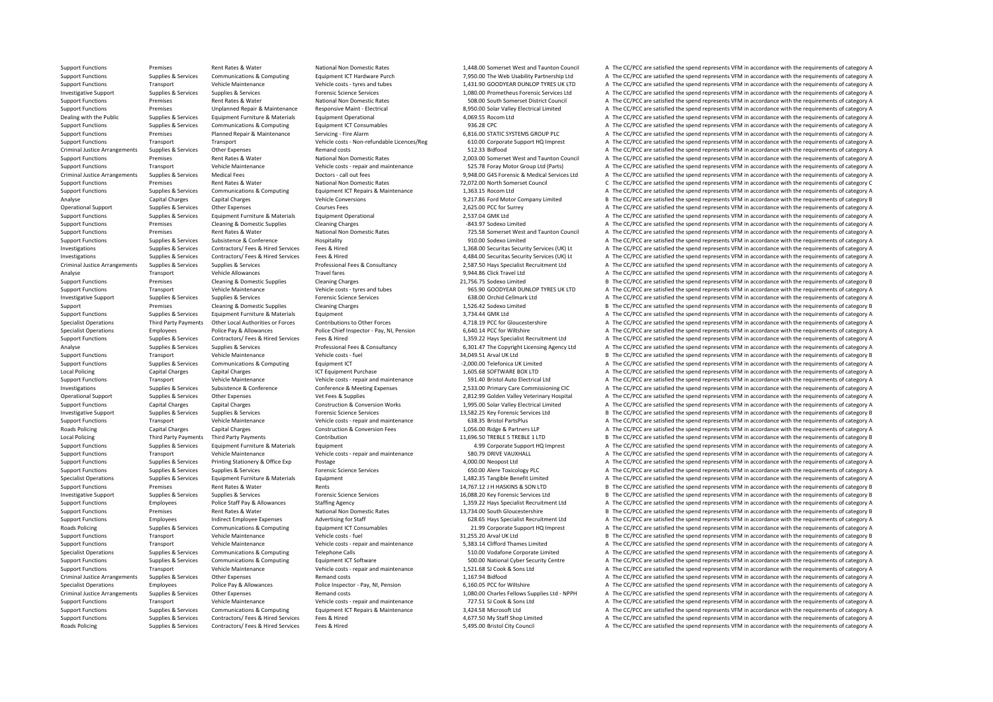Support Functions Premises Rent Rates & Water National Non Domestic Rates 1,448.00 Somerset West and Taunton Council A The CC/PCC are satisfied the spend represents VFM in accordance with the requirements of category A Support Functions Supplies & Services Communications & Computing Equipment ICT Hardware Purch 7,950.00 The Web Usability Partnership Ltd A The CC/PCC are satisfied the spend represents VFM in accordance with the requiremen Support Functions Transport Vehicle Maintenance Vehicle costs – tyres and tubes 1,431.90 GOODYEAR DUNLOP TYRES UK LTD A The CC/PCC are satisfied the spend represents VFM in accordance with the requirements of category A Investigative Support Supplies & Services Supplies & Services Support Support Support Support Support Support<br>
Support Europort European Support of the Company of the CONCE of the Support of the CONCE of the Support Functi Support Functions Premises Rent Rates & Water National Non Domestic Rates 508.00 South Somerset District Council A The CC/PCC are satisfied the spend represents VFM in accordance with the requirements of category A Support Functions Premises Unplanned Repair & Maintenance Responsive Maint - Electrical and a second and a second and the CC/PCC are satisfied the spend represents VFM in accordance with the requirements of category A Dealing with the Public Supplies & Services Equipment Furniture & Materials Equipment Operational Equipment Operational 4,069.55 Rocom Ltd A The CC/PCC are satisfied the spend represents VFM in accordance with the requirem Support Functions Supplies & Services Communications & Computing For Form Functions Equipment ICT Consumables 936.28 CPC A The CC/PCC are satisfied the spend represents VFM in accordance with the requirements of category A Support Functions Premises Planned Repair & Maintenance Servicing - Fire Alarm 6,816.00 STATIC SYSTEMS GROUP PLC A The CC/PCC are satisfied the spend represents VFM in accordance with the requirements of category A Support Functions Transport Transport Transport Wehicle costs - Non-refundable Licences/Reg 610.00 Corporate Support HQ Imprest A The CC/PCC are satisfied the spend represents VFM in accordance with the requirements of cat Criminal Justice Arrangements Supplies & Services Other Expenses Remand costs Remand costs 512.33 Bidfood 512.33 Bidfood A The CC/PCC are satisfied the spend represents VFM in accordance with the requirements of category A Support Functions Premises Rent Rates & Water National Non Domestic Rates 2,003.00 Somerset West and Taunton Council A The CC/PCC are satisfied the spend represents VFM in accordance with the requirements of category A Support Functions Transport Vehicle Maintenance Vehicle Costs - repair and maintenance S25.78 Foray Motor Group Ltd (Parts) A The CC/PCC are satisfied the spend represents VFM in accordance with the requirements of categor Criminal Justice Arrangements Supplies & Services Medical Fees Doctors - call out fees Doctors - call out fees Doctors - call out fees 9,948.00 G4S Forensic & Medical Services Ltd A The CC/PCC are satisfied the spend repre Support Functions Premises Rent Rates & Water National Non Domestic Rates 72,072.00 North Somerset Council C The CC/PCC are satisfied the spend represents VFM in accordance with the requirements of category C Support Functions Supplies & Services Communications & Computing Equipment ICT Repairs & Maintenance 1,363.15 Rocom Ltd A The CC/PCC are satisfied the spend represents VFM in accordance with the requirements of category A Analyse Capital Charges Capital Charges Capital Charges Vehicle Conversions 9,217.86 Ford Motor Company Limited B The CC/PCC are satisfied the spend represents VFM in accordance with the requirements of category B Operational Support Supplies & Services Other Expenses Courses Fees Courses Fees 2,625.00 PCC for Surrey A The CC/PCC are satisfied the spend represents VFM in accordance with the requirements of category A Support Functions Supplies & Services Equipment Furniture & Materials Equipment Operational Equipment Operational 2,537.04 GMK Ltd A The CC/PCC are satisfied the spend represents VFM in accordance with the requirements of Support Functions Premises Cleaning & Domestic Supplies Cleaning Charges Cleaning Charges Cleaning Charges Cleaning Charges -843.97 Sodexo Limited -843.97 Sodexo Limited -8 A The CC/PCC are satisfied the spend represents V Support Functions Premises Rent Rates & Water National Non Domestic Rates 725.58 Somerset West and Taunton Council A The CC/PCC are satisfied the spend represents VFM in accordance with the requirements of category A Support Functions Supplies & Services Subsistence & Conference Hospitality Hospitality 910.00 Sodexo Limited A The CC/PCC are satisfied the spend represents VFM in accordance with the requirements of category A Investigations Supplies & Services Contractors/ Fees & Hired Services Fees & Hired Hired Services Fees & Hired Services Fees & Hired Services Fees & Hired Services Pees & Hired Services (UK) Lt A The CC/PCC are satisfied t Investigations Supplies & Services Contractors/Fees & Hired Services Fees & Hired Hired Professional Fees & Hired Professional Fees & Consultancy and A484.00 Securitas Security Services Supplies & Services Supplies & Servi A The CC/PCC are satisfied the spend represents VFM in accordance with the requirements of category A Analyse Transport Vehicle Allowances Travel fares Travel fares and the spend of the CC/PCC are satisfied the spend represents VFM in accordance with the requirements of category A Support Functions Premises Cleaning & Domestic Supplies Cleaning Charges 21,756.75 Sodexo Limited B The CC/PCC are satisfied the spend represents VFM in accordance with the requirements of category B Support Functions Transport Vehicle Maintenance Vehicle costs – tyres and tubes 965.90 SUPPORTERES VALLOP TYRES UK LTD A The CC/PCC are satisfied the spend represents VFM in accordance with the requirements of category A T Investigative Support Supplies & Services Supplies & Services Forensic Science Services Forensic Science Services 638.00 Orchid Cellmark Ltd A The CC/PCC are satisfied the spend represents VFM in accordance with the requir Support Premises Cleaning & Domestic Supplies Cleaning Charges Cleaning Charges 2014 1,526.42 Sodexo Limited B The CC/PCC are satisfied the spend represents VFM in accordance with the requirements of category B Support Functions Supplies & Services Equipment Eurniture & Materials Equipment Equipment Equipment and Support a Support and A The CC/PCC are satisfied the spend represents VFM in accordance with the requirements of categ Specialist Operations Third Party Payments Other Local Authorities or Forces Contributions to Other Forces 4,718.19 PCC for Gloucestershire A The CC/PCC are satisfied the spend represents VFM in accordance with the requirements of category A Employees Police Pay & Allowances Police Chief Inspector - Pay, NI, Pension 6,640.14 PCC for Wiltshire A The CC/PCC are satisfied the spend represents VFM in accordance with the requirements of category A Support Functions Supplies & Services Contractors/ Fees & Hired Services Fees & Hired Fees & Hired Services Fees & Hired Professional Fees & Consultancy 1982-22 Hays Specialist Recruitment Ltd A The CC/PCC are satisfied th Sunnites & Services Sunnites & Services Sunnites & Services Sunnites & Services Consultancy Professional Fees & Consultancy 6.301.47 The Convright licensing Agency Itd A The CC/PCC are satisfied the spend represents VFM in Support Functions Transport Vehicle Maintenance Vehicle costs – fuel Vehicle costs – fuel 34,049.51 Arval UK Ltd B The CC/PCC are satisfied the spend represents VFM in accordance with the requirements of category B Support Functions Supplies & Services Communications & Computing Equipment ICT 2,000.00 Telefonica UK Limited A The CC/PCC are satisfied the spend represents VFM in accordance with the requirements of category A Local Policing Capital Charges Capital Charges Capital Charges Capital Charges ICT Equipment Purchase 1,605.68 SOFTWARE BOX LTD A The CC/PCC are satisfied the spend represents VFM in accordance with the requirements of cat Support Functions Transport Vehicle Maintenance Vehicle costs - repair and maintenance 591.40 Bristol Auto Electrical Ltd A The CC/PCC are satisfied the spend represents VFM in accordance with the requirements of category Investigations Supplies & Services Subsistence & Conference Conference Conference & Meeting Expenses 2,533.00 Primary Care Commissioning CIC A The CC/PCC are satisfied the spend represents VFM in accordance with the requir Operational Support Supplies & Services Other Expenses Vet Fees & Supplies Vet Fees & Supplies 2,812.99 Golden Valley Veterinary Hospital A The CC/PCC are satisfied the spend represents VFM in accordance with the requireme Capital Charges Construction & Conversion Works 1,995.00 Solar Valley Electrical Limited A The CC/PCC are satisfied the spend represents VFM in accordance with the requirements of category A Investigative Sunnort Sunnies & Services Sunnies & Services Sunnies & Services Forensic Science Services Forensic Science Services (Face of the COPCC are satisfied the spend represents VFM in accordance with the requiremen Support Functions Transport Vehicle Maintenance Vehicle costs - repair and maintenance 638.35 Bristol PartsPlus A The CC/PCC are satisfied the spend represents VFM in accordance with the requirements of category A Roads Policing Capital Charges Capital Charges Capital Charges Construction & Conversion Fees 1,056.00 Ridge & Partners LLP A The CC/PCC are satisfied the spend represents VFM in accordance with the requirements of categor Third Party Payments Third Party Payments Contribution Contribution 11,696.50 TREBLE 5 TREBLE 1 LTD B The CC/PCC are satisfied the spend represents VFM in accordance with the requirements of category B Support Functions Supplies & Services Equipment Furniture & Materials Equipment A The Corporate Support HQ Imprest A The CC/PCC are satisfied the spend represents VFM in accordance with the requirements of category A Support Functions Transport Vehicle Maintenance Vehicle costs - repair and maintenance 580.79 DRIVE VAUXHALL A The CC/PCC are satisfied the spend represents VFM in accordance with the requirements of category A Support Functions Supplies & Services Printing Stationery & Office Exp Postage Printing Stationery & Office Exp Postage 9 Postage 9 Postage 9 Postage 9 Postage 9 Postage 9 Postage 9 Postage 9 Postage 9 Postage 9 Postage 9 Support Functions Supplies & Services Supplies & Services Forensic Science Services Forensic Science Services 650.00 Alere Toxicology PLC A The CC/PCC are satisfied the spend represents VFM in accordance with the requireme Specialist Operations Supplies & Services Equipment Furniture & Materials Equipment 1,482.35 Tangible Benefit Limited A The CC/PCC are satisfied the spend represents VFM in accordance with the requirements of category A Support Functions Premises Rent Rates & Water Rents Rents Rents Rents Rents Rents Rents Rents Rents Rents Rents Rents Rents Rents Rents Rents Rents Rents Rents Rents Rents Rents Rents Rents Rents Rents Rents Rents Rents Re Investigative Sunnort Sunnies & Services Sunnies & Services Sunnies & Services Forensic Science Services Forensic Science Services and the CAPCC are satisfied the spend represents VFM in accordance with the requirements of Support Functions Employees Police Staff Pay & Allowances Staffing Agency 1,359.22 Hays Specialist Recruitment Ltd A The CC/PCC are satisfied the spend represents VFM in accordance with the requirements of category A Support Functions Premises Rent Rates & Water National Non Domestic Rates 13,734.00 South Gloucestershire B The CC/PCC are satisfied the spend represents VFM in accordance with the requirements of category B Support Functions Employees Indirect Employee Expenses Advertising for Staff 628.65 Hays Specialist Recruitment Ltd A The CC/PCC are satisfied the spend represents VFM in accordance with the requirements of category A Roads Policing Supplies & Services Communications & Computing Equipment ICT Consumables 21.99 Corporate Support HQ Imprest A The CC/PCC are satisfied the spend represents VFM in accordance with the requirements of category Support Functions Transport Vehicle Maintenance Vehicle costs – fuel Vehicle costs – fuel 31,255.20 Arval UK Ltd B The CC/PCC are satisfied the spend represents VFM in accordance with the requirements of category B Support Functions Transport Vehicle Maintenance Vehicle costs - repair and maintenance 5,383.14 Clifford Thames Limited A The CC/PCC are satisfied the spend represents VFM in accordance with the requirements of category A Specialist Operations Supplies & Services Communications & Computing Telephone Calls 510.00 Vodafone Corporate Limited A The CC/PCC are satisfied the spend represents VFM in accordance with the requirements of category A Support Functions Supplies & Services Communications & Computing Equipment ICT Software Equipment ICT Software 500.00 National Cyber Security Centre A The CC/PCC are satisfied the spend represents VFM in accordance with th Support Functions Transport Vehicle Maintenance Vehicle costs ‐ repair and maintenance 1,521.68 SJ Cook & Sons Ltd A The CC/PCC are satisfied the spend represents VFM in accordance with the requirements of category A Criminal Justice Arrangements Supplies & Services Other Expenses Remand costs Remand costs Remand costs Remand costs Remand costs a The CC/PCC are satisfied the spend represents VFM in accordance with the requirements of c Specialist Operations Employees Police Pay & Allowances Police Inspector - Pay, NI, Pension 6,160.05 PCC for Wiltshire A The CC/PCC are satisfied the spend represents VFM in accordance with the requirements of category A Criminal Justice Arrangements Supplies & Services Other Expenses Memand costs Remand costs 1,080.00 Charles Fellows Supplies Ltd - NPPH A The CC/PCC are satisfied the spend represents VFM in accordance with the requirement A The CC/PCC are satisfied the spend represents VFM in accordance with the requirements of category A Supplier & Services Communications & Computing Foujoment ICT Repairs & Maintenance 3.424.58 Microsoft Itd A The CC/PCC are satisfied the spend represents VFM in accordance with the requirements of category A Support Functions Supplies & Services Contractors/ Fees & Hired Services Fees & Hired 4,677.50 My Staff Shop Limited A The CC/PCC are satisfied the spend represents VFM in accordance with the requirements of category A Roads Policing Supplies & Services Contractors/ Fees & Hired Services Fees & Hired Services Fees & Hired Services Fees & Hired Services Fees & Hired Services Fees & Hired Services Services Fees & Hired Services Services Se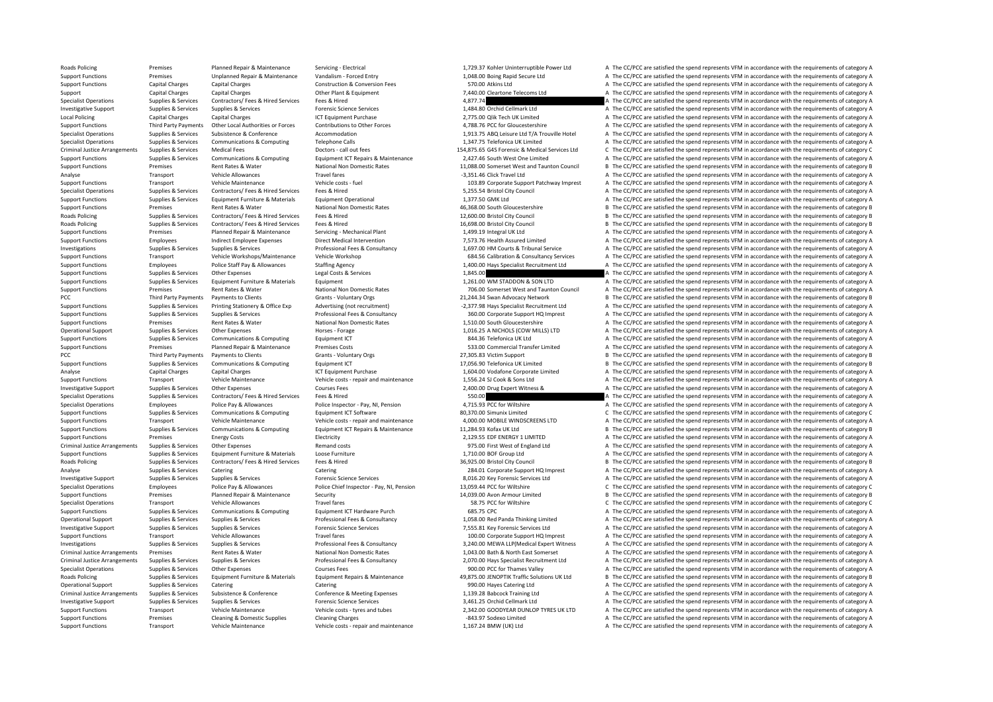Roads Policing Premises Planned Repair & Maintenance Servicing - Electrical 1,729.37 Kohler Uninterruptible Power Ltd A The CC/PCC are satisfied the spend represents VFM in accordance with the requirements of category A Support Functions Premises Unplanned Repair & Maintenance Vandalism ‐ Forced Entry 1,048.00 Boing Rapid Secure Ltd A The CC/PCC are satisfied the spend represents VFM in accordance with the requirements of category A Support Functions Capital Charges Capital Charges Capital Charges Capital Charges Capital Charges Construction & Conversion Fees 570.00 Atkins Ltd A The CC/PCC are satisfied the spend represents VFM in accordance with the Support Capital Charges Capital Charges Capital Charges Capital Charges Other Plant & Equipment Other Plant & Equipment 7,440.00 Cleartone Telecoms Ltd A The CC/PCC are satisfied the spend represents VFM in accordance with Specialist Operations of category A The CC/PCC are satisfied the spend represents VFM in accordance with the requirements of category A Investigative Support Supplies & Services Supplies & Services Forensic Science Services Forensic Science Services 1,484.80 Orchid Cellmark Ltd A The CC/PCC are satisfied the spend represents VFM in accordance with the requ Local Policing Capital Charges Capital Charges 2,775.00 Qlik Tech UK Limited A The CC/PCC are satisfied the spend represents VFM in accordance with the requirements of category A Support Functions Third Party Payments Other Iocal Authorities or Forces Contributions to Other Forces Contributions to Other Forces 4.788.76 PCC for Gloucestershire A The CC/PCC are satisfied the spend represents VFM in a Supplies & Supplies & Services Subsistence & Conference Accommodation Accommodation A TO 1913.75 ABQ Leisure Ltd T/A Trouville Hotel A The CC/PCC are satisfied the soend represents VFM in accordance with the requirements o Specialist Operations Supplies & Services Communications & Computing Telephone Calls 1,347.75 Telefonica UK Limited A The CC/PCC are satisfied the spend represents VFM in accordance with the requirements of category A Criminal Justice Arrangements Supplies & Services Medical Fees Doctors - call out fees Doctors - call out fees<br>Supplies & Supplies & Supplies & Computications & Computing Follometh ICT Renairs & Maintenance 2017 45 Supplie Sunnort Eunctions Sunnline & Services Communications & Communications & Communications & Communications & Communications & Communications For Forming For Europeans Communications (Communications Forming Forming Forming For Support Functions Premises Rent Rates & Water National Non Domestic Rates 11,088.00 Somerset West and Taunton Council B The CC/PCC are satisfied the spend represents VFM in accordance with the requirements of category B Analyse Transport Vehicle Allowances Travel fares Travel fares and the CARC Travel Ltd A The CC/PCC are satisfied the spend represents VFM in accordance with the requirements of category A Support Functions Transport Vehicle Maintenance Vehicle costs – fuel vehicle costs – fuel 103.89 Corporate Support Patchway Imprest A The CC/PCC are satisfied the spend represents VFM in accordance with the requirements of Specialist Operations Supplies & Services Contractors/ Fees & Hired Services Fees & Hired 5,255.54 Bristol City Council A The CC/PCC are satisfied the spend represents VFM in accordance with the requirements of category A Support Functions Supplies & Services Equipment Furniture & Materials Equipment Operational Equipment Operational 1,377.50 GMK Ltd A The CC/PCC are satisfied the spend represents VFM in accordance with the requirements of Support Functions Premises Rent Rates & Water National Non Domestic Rates 46,368.00 South Gloucestershire B The CC/PCC are satisfied the spend represents VFM in accordance with the requirements of category B Roads Policing Supplies & Services Contractors/ Fees & Hired Services Fees & Hired 12,600.00 Bristol City Council B The CC/PCC are satisfied the spend represents VFM in accordance with the requirements of category B Roads Policing Supplies & Services Contractors/ Fees & Hired Services Fees & Hired Hired 16,698.00 Bristol City Council Supplies and the CC/PCC are satisfied the spend represents VFM in accordance with the requirements of A The CC/PCC are satisfied the spend represents VFM in accordance with the requirements of category A Support Functions Employees Indirect Employee Expenses Direct Medical Intervention 7,573.76 Health Assured Limited A The CC/PCC are satisfied the spend represents VFM in accordance with the requirements of category A Investigations Cumplies & Services Sunnlies & Services Sunnlies & Services Professional Fees & Consultancy Professional Fees & Consultancy 169700 HM Courts & Tribunal Service A The CC/PCC are satisfied the spend represents Support Functions Transport Vehicle Workshops/Maintenance Vehicle Workshop Support Calibration & Consultancy Services A The CC/PCC are satisfied the spend represents VFM in accordance with the requirements of category A Su Employees Police Staff Pay & Allowances Staffing Agency Staff Pay Specialist Recruitment Ltd A The CC/PCC are satisfied the spend represents VFM in accordance with the requirements of category A Support Functions Supplies & Services Other Expenses Legal Costs & Services 1,845.00 A The CC/PCC are satisfied the spend represents VFM in accordance with the requirements of category A Support Functions Supplies & Services Equipment Eurniture & Materials Equipment Equipment Equipment a The CONTENDON & SON LTD A The CC/PCC are satisfied the spend represents VFM in accordance with the requirements of categ Support Functions Premises Rent Rates Rent Rates Rent Rates National Non Domestic Rates 706.00 Somerset West and Taunton Council A The CC/PCC are satisfied the spend represents VFM in accordance with the requirements of ca B The CC/PCC are satisfied the spend represents VFM in accordance with the requirements of category B Support Functions Supplies & Services Printing Stationery & Office Exp Advertising (not recruitment) 2,377.98 Hays Specialist Recruitment Ltd A The CC/PCC are satisfied the spend represents VFM in accordance with the requi Sunning Sunning Sunning & Services Sunning & Services Sunning & Services Professional Epes & Consultancy and a COMPO 360.00 Comparate Sunnort HO Imprest A The CC/PCC are satisfied the spend represents VEM in accordance wit Support Functions Premises Premises Rent Rates & Water National Non Domestic Rates National Non Domestic Rates 1,510.00 South Gloucestershire A The CC/PCC are satisfied the spend represents VFM in accordance with the requi A The CC/PCC are satisfied the spend represents VFM in accordance with the requirements of category A Support Functions Supplies & Services Communications & Computing Equipment ICT 844.36 Telefonica UK Ltd A The CC/PCC are satisfied the spend represents VFM in accordance with the requirements of category A Support Functions Premises Planned Repair & Maintenance Premises Costs 533.00 Commercial Transfer Limited A The CC/PCC are satisfied the spend represents VFM in accordance with the requirements of category A PCC Third Party Payments Payments to Clients Grants - Voluntary Orgs Grants - Voluntary Orgs 27,305.83 Victim Support B The CC/PCC are satisfied the spend represents VFM in accordance with the requirements of category B Support Functions Supplies & Services Communications & Computing Equipment ICT 17,056.90 Telefonica UK Limited B The CC/PCC are satisfied the spend represents VFM in accordance with the requirements of category B Analyse Capital Charges Capital Charges Capital Charges Capital Charges ICT Equipment Purchase 1,604.00 Vodafone Corporate Limited A The CC/PCC are satisfied the spend represents VFM in accordance with the requirements of Support Functions Transport Vehicle Maintenance Vehicle costs – repair and maintenance 1,556.24 SJ Cook & Sons Ltd A The CC/PCC are satisfied the spend represents VFM in accordance with the requirements of category A Investigative Support Supplies & Services Other Expenses Courses Fees Courses Fees 2,400.00 Drug Expert Witness & A The CC/PCC are satisfied the spend represents VFM in accordance with the requirements of category A Specialist Operations Supplies & Services Contractors/ Fees & Hired Services Fees & Hired Services Fees & Hired Services Fees & Hired 550.00 Specialist Operation A The CC/PCC are satisfied the spend represents VFM in accor Employees Police Pay & Allowances Police Inspector - Pay, NI, Pension 4,715.93 PCC for Wiltshire A The CC/PCC are satisfied the spend represents VFM in accordance with the requirements of category A Support Functions Supplies & Services Communications & Computing For Formunications Computing Formunications & Computing Formunications & Computing Formunications and Formunications and Formunications and Formunications of Support Functions Transport Vehicle Maintenance Vehicle costs - repair and maintenance 4,000.00 MOBILE WINDSCREENS LTD A The CC/PCC are satisfied the spend represents VFM in accordance with the requirements of category A Support Functions Supplies & Services Communications & Computing Equipment ICT Repairs & Maintenance 11,284.93 Kofax UK Ltd B The CC/PCC are satisfied the spend represents VFM in accordance with the requirements of categor Support Functions Premises Energy Costs Electricity Electricity Electricity (2,129.55 EDF ENERGY 1 LIMITED A The CC/PCC are satisfied the spend represents VFM in accordance with the requirements of category A Criminal Justice Arrangements Supplies & Services Other Expenses Remand costs Remand costs 975.00 First West of England Ltd A The CC/PCC are satisfied the spend represents VFM in accordance with the requirements of categor Support Functions Supplies & Services Equipment Furniture Materials Loose Furniture 1,710.00 BOF Group Ltd A The CC/PCC are satisfied the spend represents VFM in accordance with the requirements of category A Roads Policing Supplies Services Contractors/ Fees & Hired Services Fees & Hired 36,925.00 Bristol City Council 36,927,00 Bristol City Council B The CC/PCC are satisfied the spend represents VFM in accordance with the requ Analyse Supplies & Services Catering Catering Catering Catering Catering Catering Catering Catering Catering Catering Catering Catering 284.01 Corporate Support HQ Imprest A The CC/PCC are satisfied the spend represents VF Investigative Support Supplies & Services Supplies & Services Forensic Science Services and a The CC/PCC are satisfied the spend represents VFM in accordance with the requirements of category A Specialist Operations Employees Police Pay & Allowances Police Chief Inspector - Pay, NJ, Pension 13,059.44 PCC for Willshire COVEC are satisfied the spend represents VFM in accordance with the requirements of category C<br>S Support Functions Premises Planned Repair & Maintenance Security 14,039.00 Avon Armour Limited B The CC/PCC are satisfied the spend represents VFM in accordance with the requirements of category B Specialist Operations Transport Vehicle Allowances Travel fares Travel fares Travel fares Travel fares Travel fares S8.75 PCC for Wiltshire C The CC/PCC are satisfied the spend represents VFM in accordance with the require Support Functions Supplies & Services Communications & Computing Equipment ICT Hardware Purch 685.75 CPC A The CC/PCC are satisfied the spend represents VFM in accordance with the requirements of category A The CC/PCC are Operational Support Supplies & Services Supplies & Services Professional Fees & Consultancy 1,058.00 Red Panda Thinking Limited A The CC/PCC are satisfied the spend represents VFM in accordance with the requirements of cat Investigative Support Supplies & Services Supplies & Services Forensic Science Services Forensic Science Services Company Services 2,555.81 Key Forensic Services Ltd A The CC/PCC are satisfied the spend represents VFM in a Support Functions Transport Vehicle Allowances Travel fares Travel fares Travel fares 100.00 Corporate Support HQ Imprest A The CC/PCC are satisfied the spend represents VFM in accordance with the requirements of category Investigations Supplies & Services Supplies & Services Supplies & Services Professional Fees & Consultancy Professional Fees & Consultancy 3.240.00 MEWA LLP/IMedical Expert Witness A The CC/PCC are satisfied the spend repr Criminal Justice Arrangements Premises Rent Rates & Water National Non Domestic Rates 1,043.00 Bath & North East Somerset A The CC/PCC are satisfied the spend represents VFM in accordance with the requirements of category Criminal Justice Arrangements Supplies & Services Supplies & Services Professional Fees & Consultancy 2,070.00 Hays Specialist Recruitment Ltd A The CC/PCC are satisfied the spend represents VFM in accordance with the requ Specialist Operations Supplies & Services Other Expenses Courses Fees Courses Fees 900.00 PCC for Thames Valley A The CC/PCC are satisfied the spend represents VFM in accordance with the requirements of category A Roads Policing Supplies & Supplies & Services Equipment Furniture & Materials Equipment Repairs & Maintenance 49,875.00 JENOPTIK Traffic Solutions UK Ltd B The CC/PCC are satisfied the spend represents VFM in accordance wi Operational Support Supplies & Services Catering Catering Catering Catering Catering Catering Catering Catering Catering Catering Catering Support A The CC/PCC are satisfied the spend represents VFM in accordance with the Criminal Justice Arrangements Supplies & Services Subsistence & Conference Conference Conference Conference Conference Conference Conference Conference Conference Conference Conference Conference Conference Conference Conf A The CC/PCC are satisfied the spend represents VFM in accordance with the requirements of category A Support Functions Transport Vehicle Maintenance Vehicle costs – tyres and tubes 2,342.00 GOODYEAR DUNLOP TYRES UK LTD A The CC/PCC are satisfied the spend represents VFM in accordance with the requirements of category A Support Functions Premises Cleaning & Domestic Supplies Cleaning Charges Cleaning Charges Cleaning Charges Cleaning Charges A The CC/PCC are satisfied the spend represents VFM in accordance with the requirements of categor Support Functions Transport Vehicle Maintenance Vehicle costs ‐ repair and maintenance 1,167.24 BMW (UK) Ltd A The CC/PCC are satisfied the spend represents VFM in accordance with the requirements of category A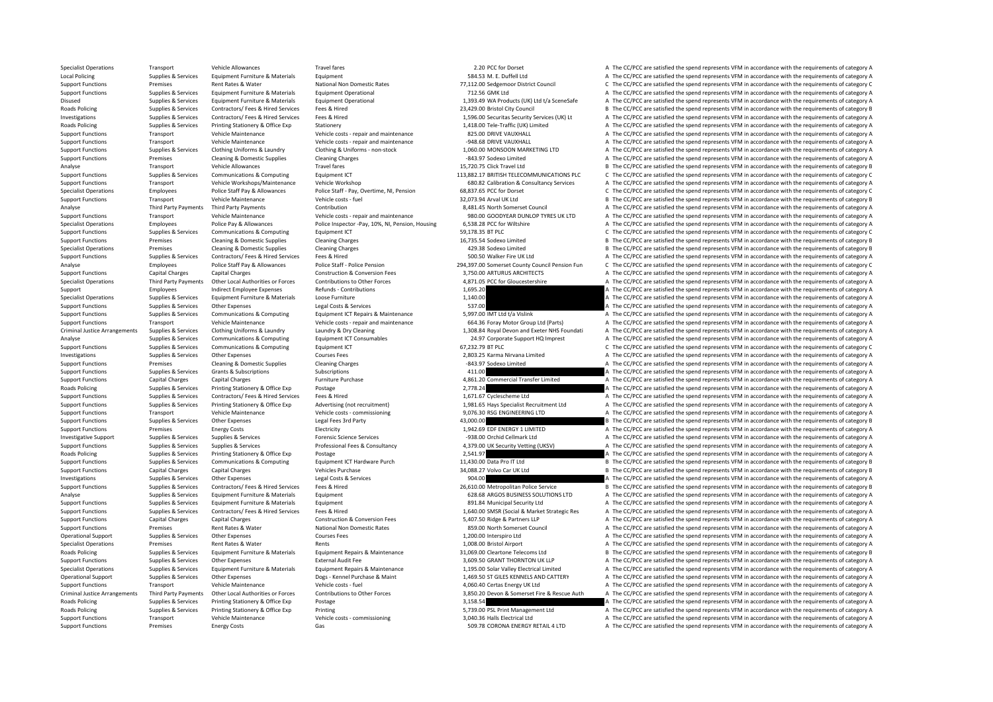Specialist Operations Transport Vehicle Allowances Travel fares Travel fares Travel fares and the compare and the compare a The CC/PCC are satisfied the spend represents VFM in accordance with the requirements of category Local Policing Supplies & Services Equipment Furniture & Materials Equipment Equipment SALE Duffell Ltd A The CC/PCC are satisfied the spend represents VFM in accordance with the requirements of category A Support Functions Premises Rent Rates & Water National Non Domestic Rates 77,112.00 Sedgemoor District Council C The CC/PCC are satisfied the spend represents VFM in accordance with the requirements of category C Support F Support Functions Supplies & Services Equipment Furniture & Materials Equipment Operational Equipment Operational 712.56 GMK Ltd A SceneSafe A The CC/PCC are satisfied the spend represents VFM in accordance with the requir on a structure of the structure of the structure of the structure of the structure of the structure of the structure of the structure of the structure of the structure of the structure of the structure of the structure of Roads Policing Supplies & Services Contractors/ Fees & Hired Services Fees & Hired 23,429.00 Bristol City Council 28,429.00 Bristol City Council B The CC/PCC are satisfied the spend represents VFM in accordance with the re Investigations Supplies & Services Contractors/ Fees & Hired Services Fees & Hired The CHOCOD Securitas Security Services (UK) Lt A The CC/PCC are satisfied the spend represents VFM in accordance with the requirements of c Roads Policing Supplies & Services Printing Stationery & Office Exp Stationery Stationery 1,418.00 Tele‐Traffic (UK) Limited A The CC/PCC are satisfied the spend represents VFM in accordance with the requirements of catego Support Functions Transport Vehicle Maintenance Vehicle costs ‐ repair and maintenance 825.00 DRIVE VAUXHALL A The CC/PCC are satisfied the spend represents VFM in accordance with the requirements of category A Support Functions Transport Vehicle Maintenance Vehicle Costs ‐ repair and maintenance vehicle costs ‐ repair and maintenance vehicle costs ‐ repair and maintenance vehicle costs • repair and maintenance vehicle COST in th Support Functions Supplies & Services Clothing Uniforms & Laundry Clothing & Uniforms - non-stock 1,060.00 MONSOON MARKETING LTD A The CC/PCC are satisfied the spend represents VFM in accordance with the requirements of ca Support Functions Premises Cleaning & Domestic Supplies Cleaning Charges Cleaning Charges Charges Charges Charges Charges Charges Charges Charges Charges Charges Charges Charges Charges States and a The CC/PCC are satisfie Transport Vehicle Allowances Travel fares Travel fares 15,720.75 Click Travel Ltd B The CC/PCC are satisfied the spend represents VFM in accordance with the requirements of category B The CONTECT CHE CONTECT CHE CONTECT CH Support Functions Supplies & Services Communications & Computing Fquipment ICT 113,882.17 BRITISH TELECOMMUNICATIONS PLC C The CC/PCC are satisfied the spend represents VFM in accordance with the requirements of category C Support Functions Transport Vehicle Workshops/Maintenance Vehicle Workshop 680.82 Calibration & Consultancy Services A The CC/PCC are satisfied the spend represents VFM in accordance with the requirements of category A Specialist Operations Employees Police Staff Pay & Allowances Police Staff - Pay, Overtime, NI, Pension 68,837.65 PCC for Dorset C The CC/PCC are satisfied the spend represents VFM in accordance with the requirements of ca Support Functions Transport Vehicle Maintenance Vehicle costs – fuel 32,073.94 Arval UK Ltd B The CC/PCC are satisfied the spend represents VFM in accordance with the requirements of category B Analyse Third Party Payments Third Party Payments Contribution Contribution Contribution and a SA81.45 North Somerset Council A The CC/PCC are satisfied the spend represents VFM in accordance with the requirements of categ Support Functions Transport Vehicle Maintenance Vehicle costs ‐ repair and maintenance 980.00 GOODYEAR DUNLOP TYRES UK LTD A The CC/PCC are satisfied the spend represents VFM in accordance with the requirements of category Specialist Operations Employees Police Pay & Allowances Police Inspector -Pay, 10%, NI, Pension, Housing 6,538.28 PCC for Wiltshire and Ame CC/PCC are satisfied the spend represents VFM in accordance with the requirements  $C$  The CC/PCC are satisfied the spend represents VFM in accordance with the requirements of category C Support Functions Premises Cleaning & Domestic Supplies Cleaning Charges Cleaning Charges 16,735.54 Sodexo Limited B The CC/PCC are satisfied the spend represents VFM in accordance with the requirements of category B Specialist Operations Premises Cleaning & Domestic Supplies Cleaning Charges Cleaning Charges 429.38 Sodexo Limited B The CC/PCC are satisfied the spend represents VFM in accordance with the requirements of category B Support Functions Supplies & Services Contractors/ Fees & Hired Services Fees & Hired Services Fees & Hired 500.50 Walker Fire UK Ltd A The CC/PCC are satisfied the spend represents VFM in accordance with the requirements Employees Police Staff Pay & Allowances Police Staff - Police Staff - Police Staff - Police Staff - Police Staff - Police Staff - Police Staff - Police Staff - Police Staff - Police Staff - Police Pension 294,397.00 Somers Support Functions Capital Charges Capital Charges Construction & Construction & Conversion Fees 3,750.00 ARTURUS ARCHITECTS A The CC/PCC are satisfied the spend represents VFM in accordance with the requirements of categor Specialist Operations Third Party Payments Other Local Authorities or Forces Contributions to Other Forces 4.871.05 PCC for Gloucestershire A The CC/PCC are satisfied the spend represents VFM in accordance with the require Support Employees Indirect Employee Expenses Refunds - Contributions and the Support Employee Expenses Refunds Contributions and the Support of the CC/PCC are satisfied the spend represents VFM in accordance with the requi .<br>The CC/PCC are satisfied the spend represents VFM in accordance with the requirements of category A Support Functions Supplies & Services Other Expenses Legal Costs & Services 537.00 A The CC/PCC are satisfied the spend represents VFM in accordance with the requirements of category A Support Functions Support Support Support Support of Communications & Communications & Communications & Communications & Communications Foundment ICT Repairs & Maintenance 5,997,00 IMT Itd t/a Vislink and The CC/PCC are sa Transport Vehicle Maintenance Vehicle Coints Chicle costs - repair and maintenance 664.36 Foray Motor Group Ltd (Parts) and Declet Criminal Justice Arrangements Supplies & Services Clothing Uniforms & Laundry Musical Laund A The CC/PCC are satisfied the spend represents VFM in accordance with the requirements of category A Analyse Supplies & Services Communications & Computing Equipment ICT Consumables 24.97 Corporate Support HQ Imprest A The CC/PCC are satisfied the spend represents VFM in accordance with the requirements of category A Supp Support Functions Supplies & Services Communications & Computing Faulument ICT 67,237,79 BT PLC 67,232.79 BT PLC C The CC/PCC are satisfied the spend represents VFM in accordance with the requirements of category C Investigations Supplies & Services Other Expenses Courses Fees Courses Fees 2,803.25 Karma Nirvana Limited A The CC/PCC are satisfied the spend represents VFM in accordance with the requirements of category A Support Funct Support Functions Premises Cleaning & Domestic Supplies Cleaning Charges Cleaning Charges Cleaning Charges Cleaning Charges Cleaning Charges Cleaning Charges and the spend represents of category A The CC/PCC are satisfied Support Functions Supplies & Services Grants & Subscriptions Subscriptions Subscriptions Subscriptions Subscriptions at the content of category A The CC/PCC are satisfied the spend represents VFM in accordance with the req Support Functions Capital Charges Capital Charges Furniture Purchase Furniture Purchase 4,861.20 Commercial Transfer Limited A The CC/PCC are satisfied the spend represents VFM in accordance with the requirements of catego Roads Policing Supplies & Services Printing Stationery & Office Exp Postage 2,778.24 2,778.24 A The CC/PCC are satisfied the spend represents VFM in accordance with the requirements of category A Support Functions Supplies & Services Contractors/ Fees & Hired Services Fees & Hired Services Fees & Hired Services Fees & Hired A The CC/PCC are satisfied the spend represents VFM in accordance with the requirements of c 1,981.65 Hays Specialist Recruitment Ltd A The CC/PCC are satisfied the spend represents VFM in accordance with the requirements of category A<br>9.076.30 RSG ENGINFERING LTD A The CC/PCC are satisfied the spend represents VF Support Functions Transport Vehicle Maintenance Vehicle costs – commissioning 9,076.30 RSG ENGINEERING LTD A The CC/PCC are satisfied the spend represents VFM in accordance with the requirements of category A Support Functions Supplies & Services Other Expenses Legal Fees 3rd Party 1997 and A 2,000.00 A 2,000.00 B The CC/PCC are satisfied the spend represents VFM in accordance with the requirements of category B Support Functions Premises Energy Costs Electricity Electricity Electricity Electricity Electricity Electricity Electricity and the Support Electricity and the Support The CC/PCC are satisfied the spend represents VFM in a Investigative Support Supplies & Services Supplies & Services Forensic Science Services Forensic Science Services Forensic Science Services -938.00 Orchid Cellmark Ltd A The CC/PCC are satisfied the spend represents VFM in Supplies & Services Supplies & Services Supplies & Services Supplies & Services Supplies & Services Supplies & Services Supplies & Services Supplies & Services Supplies & Services Supplies & Services Supplies & Services Su Roads Policing Supplies & Services Printing Stationery & Office Exp Postage Purch Printing Purch 2,541.97 a 2,541.97 A The CC/PCC are satisfied the spend represents VFM in accordance with the requirements of category A Sup Support Functions Supplies & Services Communications & Computing Equipment ICT Hardware Purch 11,430.00 Data Pro IT Ltd B The CC/PCC are satisfied the spend represents VFM in accordance with the requirements of category B Support Functions Capital Charges Capital Charges Vehicles Purchase Vehicles Purchase 34,088.27 Volvo Car UK Ltd B The CC/PCC are satisfied the spend represents VFM in accordance with the requirements of category B Investigations Supplies & Services Other Expenses Legal Costs & Services 904.00 A The CC/PCC are satisfied the spend represents VFM in accordance with the requirements of category A Supplies & Supplies & Services Contractors/Fees & Hired Expirements of category B and the CONSULTIONS ITD B The CONSULTION B The CONSULTION CONSULTIONS ITD B The CONSULTION CONSULTIONS ITD A The CONSULTION CONSULTION CONSU Analyse Supplies & Services Equipment Furniture & Materials Foujoment 628.68 ARGOS BUSINESS SOLUTIONS LTD A The CC/PCC are satisfied the spend represents VFM in accordance with the requirements of category A Support Functions Supplies & Services Equipment Furniture & Materials Equipment and the support and the security Ltd A The CC/PCC are satisfied the spend represents VFM in accordance with the requirements of category A Support Functions Supplies & Services Contractors/ Fees & Hired Services Fees & Hired Hired Hired Contents and Hired Contents and the CACC on the CACC are still the spend represents VFM in accordance with the requirements Support Functions Capital Charges Capital Charges Capital Charges Capital Charges Capital Charges Capital Charges Capital Charges Construction & Conversion Fees 5,407.50 Ridge & Partners LLP A The CC/PCC are satisfied the Support Functions Premises Rent Rates & Water National Non Domestic Rates 859.00 North Somerset Council A The CC/PCC are satisfied the spend represents VFM in accordance with the requirements of category A Operational Support Supplies & Services Other Expenses Courses Fees Courses Fees 1,200.00 Interspiro Ltd A The CC/PCC are satisfied the spend represents VFM in accordance with the requirements of category A Specialist Operations Premises Rent Rates & Water Rents 1,008.00 Bristol Airport A The CC/PCC are satisfied the spend represents VFM in accordance with the requirements of category A Roads Policing Supplies & Supplies & Services Equipment Furniture & Materials Equipment Repairs & Maintenance 31,069.00 Cleartone Telecoms Ltd B The CC/PCC are satisfied the spend represents VFM in accordance with the requ Support Functions Supplies & Services Other Expenses External Audit Fee 3,609.50 GRANT THORNTON UK LLP A The CC/PCC are satisfied the spend represents VFM in accordance with the requirements of category A Supplies & Services Equipment Furniture & Materials Equipment Repairs & Maintenance 1,195.00 Solar Valley Electrical Limited A The CC/PCC are satisfied the spend represents VFM in accordance with the requirements of catego Operational Support Supplies & Services Other Expenses Devel Expenses Dogs - Kennel Purchase & Maint 1.469.50 ST GILES KENNELS AND CATTERY A The CC/PCC are satisfied the spend represents VFM in accordance with the requirem Support Functions Transport Vehicle Maintenance Vehicle costs – fuel vehicle costs – fuel 4,060.40 Certas Energy UK Ltd A The CC/PCC are satisfied the spend represents VFM in accordance with the requirements of category A Criminal Justice Arrangements Third Party Payments Other Local Authorities or Forces Contributions to Other Forces and the SASSALO Devon & Somerset Fire & Rescue Auth A The CC/PCC are satisfied the spend represents VFM in Postage 3,158.54 3,158.54 A The CC/PCC are satisfied the spend represents VFM in accordance with the requirements of category A<br>Printing Stategory A The CC/PCC are satisfied the spend represents VFM in accordance with the Roads Policing Supplies & Services Printing Stationery & Office Exp Printing Printing 5,739.00 PSL Print Management Ltd A The CC/PCC are satisfied the spend represents VFM in accordance with the requirements of category A Support Functions Transport Vehicle Maintenance Vehicle costs – commissioning 3,040.36 Halls Electrical Ltd A The CC/PCC are satisfied the spend represents VFM in accordance with the requirements of category A Support Functions Premises Energy Costs Gas Gas Gas Functions Gas SO9.78 CORONA ENERGY RETAIL 4 LTD A The CC/PCC are satisfied the spend represents VFM in accordance with the requirements of category A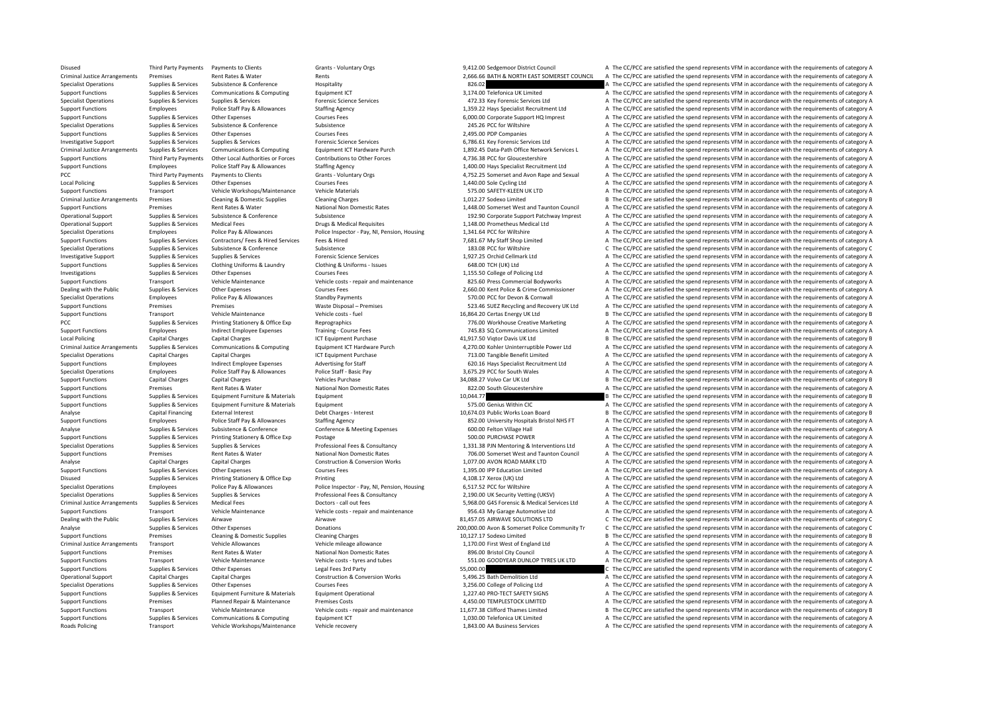Disused Third Party Payments Payments to Clients Grants - Voluntary Orgs Grants - Voluntary Orgs 9,412.00 Sedgemoor District Council A The CC/PCC are satisfied the spend represents VFM in accordance with the requirements o Criminal Justice Arrangements Premises Rent Rates & Water Rents Rents Rents 2,666.66 BATH & NORTH EAST SOMERSET COUNCIL A The CC/PCC are satisfied the spend represents VFM in accordance with the requirements of category A Specialist Operations Supplies & Services Subsistence & Conference Hospitality Hospitality and the service Hospitality and the COVEC are satisfied the spend represents VFM in accordance with the requirements of category A Support Functions Supplies & Services Communications & Computing Equipment ICT Equipment ICT Support Telefonica UK Limited A The CC/PCC are satisfied the spend represents VFM in accordance with the requirements of category Specialist Operations Supplies & Services Supplies & Services Forensic Science Services 472.33 Key Forensic Services Ltd A The CC/PCC are satisfied the spend represents VFM in accordance with the requirements of category A Support Functions Employees Police Staff Pay & Allowances Staffing Agency 1,359.22 Hays Specialist Recruitment Ltd A The CC/PCC are satisfied the spend represents VFM in accordance with the requirements of category A Support Functions Supplies & Services Other Expenses Courses Fees Courses Fees 6,000.00 Corporate Support HQ Imprest A The CC/PCC are satisfied the spend represents VFM in accordance with the requirements of category A Specialist Operations Supplies & Services Subsistence Subsistence Subsistence Subsistence Subsistence 245.26 PCC for Wiltshire A The CC/PCC are satisfied the spend represents VFM in accordance with the requirements of cate Support Functions Supplies & Services Other Expenses Courses Fees 2,495.00 PDP Companies A The CC/PCC are satisfied the spend represents VFM in accordance with the requirements of category A Investigative Support Supplies & Services Supplies & Services Forensic Science Services Forensic Science Services 6,786.61 Key Forensic Services Ltd A The CC/PCC are satisfied the spend represents VFM in accordance with th Criminal Justice Arrangements Supplies & Services Communications & Computing Equipment ICT Hardware Purch 1,892.45 Data-Path Office Network Services L A The CC/PCC are satisfied the spend represents VFM in accordance with Sunnort Eunctions Third Party Payments Other Incal Authorities or Forces Contributions to Other Forces 2736.38 PCC for Glourestershire A The CC/PCC are satisfied the spend represents VEM in accordance with the requirements Support Functions Employees Police Staff Pay & Allowances Staffing Agency Staffing Agency 1,400.00 Hays Specialist Recruitment Ltd A The CC/PCC are satisfied the spend represents VFM in accordance with the requirements of PCC Third Party Payments to Clients Grants Muntary Orgs 4,752.25 Somerset and Avon Rape and Sexual A The CC/PCC are satisfied the spend represents VFM in accordance with the requirements of category A Local Policing Supplies & Services Other Expenses Courses Fees Courses Fees 1,440.00 Sole Cycling Ltd A The CC/PCC are satisfied the spend represents VFM in accordance with the requirements of category A Support Functions Transport Vehicle Workshops/Maintenance Vehicle Materials 575.00 SAFETY‐KLEEN UK LTD A The CC/PCC are satisfied the spend represents VFM in accordance with the requirements of category A Criminal Justice Arrangements Premises Cleaning & Domestic Supplies Cleaning Charges Cleaning Charges 1,012.27 Sodexo Limited B The CC/PCC are satisfied the spend represents VFM in accordance with the requirements of categ Support Functions Premises Rent Rates & Water National Non Domestic Rates 1,448.00 Somerset West and Taunton Council A The CC/PCC are satisfied the spend represents VFM in accordance with the requirements of category A Operational Support Support Support Support Subsistence Support Subsistence Subsistence Support Patchway Imprest A The CC/PCC are satisfied the spend represents VFM in accordance with the requirements of category A Operational Support Supplies & Services Medical Fees Drugs & Medical Requisites Drugs & Medical Requisites 1,148.00 Prometheus Medical Ltd A The CC/PCC are satisfied the spend represents VFM in accordance with the requirem Frontier and the particle and the particle and the particle and the particle and the particle and the content of category A The CONS of the CONS of the CONS of the CONS of the CONS of the CONS of the CONS of the CONS of th Support Functions Supplies & Services Contractors/ Fees & Hired Services Fees & Hired The My Staff Shop Limited A The CC/PCC are satisfied the spend represents VFM in accordance with the requirements of category A Specialist Operations Supplies & Services Subsistence Subsistence Subsistence Subsistence Subsistence Subsistence Subsistence Subsistence Subsistence Subsistence Subsistence Subsistence Subsistence Subsistence Subsistence Investigative Support Supplies & Services Supplies & Services Forensic Science Services Forensic Science Services Forensic Science Services and the Support Ltd A The CC/PCC are satisfied the spend represents VFM in accorda A The CC/PCC are satisfied the spend represents VFM in accordance with the requirements of category A Investigations Supplies & Services Other Expenses Courses Fees Courses Fees 1,155.50 College of Policing Ltd A The CC/PCC are satisfied the spend represents VFM in accordance with the requirements of category A Support Functions Transport Vehicle Maintenance Vehicle Costs - repair and maintenance 825.60 Press Commercial Bodyworks A The CC/PCC are satisfied the spend represents VFM in accordance with the requirements of category A Dealing with the Public Supplies & Services Other Expenses Courses Fees Courses Fees 2,660.00 Kent Police & Crime Commissioner A The CC/PCC are satisfied the spend represents VFM in accordance with the requirements of cate Employees Police Pay & Allowances Standby Payments Standby Payments Standby Payments Standby Payments Standby Payments Standby Payments Standby Payments Standby Payments Standby Payments Standby Payments Standby Payments S Support Functions Premises Premises Premises Waste Disposal – Premises S23.46 SUEZ Recycling and Recovery UK Ltd A The CC/PCC are satisfied the spend represents VFM in accordance with the requirements of category A Support Functions Transport Vehicle Maintenance Vehicle costs – fuel 16,864.20 Certas Energy UK Ltd B The CC/PCC are satisfied the spend represents VFM in accordance with the requirements of category B PCC PCC Supplies Applies & Services Printing Stationery & Office Exp Reprographics Reprographics 776.00 Workhouse Creative Marketing A The CC/PCC are satisfied the spend represents VFM in accordance with the requirements o Employees Indirect Employee Expenses Training ‐ Course Fees 745.83 SQ Communications Limited A The CC/PCC are satisfied the spend represents VFM in accordance with the requirements of category A Local Policing Capital Charges Capital Charges Capital Charges Capital Charges ICT Equipment Purchase 100 and the media and the Supplement Davis UK Ltd B The CC/PCC are satisfied the spend represents VFM in accordance with Criminal lustice Arrangements Sunnlies & Services Communications & Computing Foujoment ICT Hardware Purch 4.270.00 Kohler Uninterruntible Power I td A The CC/PCC are satisfied the spend represents VFM in accordance with th Specialist Operations Capital Charges Capital Charges 1997 12 13.00 Tangible Benefit Limited A The CC/PCC are satisfied the spend represents VFM in accordance with the requirements of category A Support Functions Employees Indirect Employee Expenses Advertising for Staff 620.16 Hays Specialist Recruitment Ltd A The CC/PCC are satisfied the spend represents VFM in accordance with the requirements of category A Specialist Operations Employees Police Staff Pay & Allowances Police Staff - Basic Pay 3,675.29 PCC for South Wales A The CC/PCC are satisfied the spend represents VFM in accordance with the requirements of category A Support Functions Capital Charges Capital Charges Vehicles Purchase Vehicles Purchase 34,088.27 Volvo Car UK Ltd B The CC/PCC are satisfied the spend represents VFM in accordance with the requirements of category B Support Functions Premises Rent Rates & Water National Non Domestic Rates 822.00 South Gloucestershire A The CC/PCC are satisfied the spend represents VFM in accordance with the requirements of category A Support Functions Supplies & Services Equipment Furniture & Materials Equipment Equipment and the support of the spend of the CC/PCC are satisfied the spend represents VFM in accordance with the requirements of category B Supplies & Services Equipment Furniture & Materials Equipment Functions Equipment 575.00 Genius Within CIC A The CC/PCC are satisfied the spend represents VFM in accordance with the requirements of category A Capital Financing External Interest Debt Charges - Interest Debt Charges - Interest 10,674.03 Public Works Loan Board B The CC/PCC are satisfied the spend represents VFM in accordance with the requirements of category B Support Functions Employees Police Staff Pay & Allowances Staffing Agency States and the state and the states of category A The CC/PCC are satisfied the spend represents VFM in accordance with the requirements of category Analyse Supplies & Services Subsistence & Conference Conference Conference & Meeting Expenses 600.00 Felton Village Hall A The CC/PCC are satisfied the spend represents VFM in accordance with the requirements of category A Functions Support Functions Support Functions Supplies A The CC/PCC are satisfied the spend represents VFM in accordance with the requirements of category A Supplies & Services Supplies & Services Supplies & Services Supplies & Services Supplies & Services Supplies & Services Supplies & Services Supplies & Services Supplies & Services Supplies & Services Supplies & Services Su Support Functions Premises Rent Rates & Water National Non Domestic Rates 706.00 Somerset West and Taunton Council A The CC/PCC are satisfied the spend represents VFM in accordance with the requirements of category A The C Analyse Capital Charges Capital Charges Capital Charges Construction & Construction & Conversion Works 1,077.00 AVON ROAD MARK LTD A The CC/PCC are satisfied the spend represents VFM in accordance with the requirements of Support Functions Supplies & Services Other Expenses Courses Fees Courses Fees 1,395.00 IPP Education Limited A The CC/PCC are satisfied the spend represents VFM in accordance with the requirements of category A Disused Supplies & Services Printing Stationery & Office Exp Printing Printing and A The CONCO are satisfied the spend represents VFM in accordance with the requirements of category A Specialist Operations Employees Police Pay & Allowances Police Inspector - Pay, NI, Pension, Housing 6,517.52 PCC for Willshire A SALE CONCC are satisfied the spend represents VFM in accordance with the requirements of cat Suppliers, Suppliers, Suppliers, Suppliers, Suppliers, Suppliers, Suppliers, Suppliers, Suppliers, Suppliers, Suppliers, Suppliers, Suppliers, Suppliers, Suppliers, Suppliers, Suppliers, Suppliers, Suppliers, Suppliers, Su Criminal Justice Arrangements Supplies & Services Medical Fees Doctors - call out fees Doctors - call out fees Doctors - call out fees 5,968.00 G4S Forensic & Medical Services Ltd A The CC/PCC are satisfied the spend repre Support Functions Transport Vehicle Maintenance Vehicle Costs - repair and maintenance 956.43 My Garage Automotive Ltd A The CC/PCC are satisfied the spend represents VFM in accordance with the requirements of category A A Dealing with the Public Supplies & Services Airwave Airwave Airwave Airwave Airwave Airwave Airwave Airwave Airwave Airwave Airwave Airwave Airwave Airwave Airwave Airwave Airwave Airwave Airwave Airwave Airwave Airwave Ai Analyse Supplies & Services Other Expenses Donations 200,000.00 Avon & Somerset Police Community Tr C The CC/PCC are satisfied the spend represents VFM in accordance with the requirements of category C Support Functions Premises Cleaning & Domestic Supplies Cleaning Charges Cleaning Charges 10,127.17 Sodexo Limited B The CC/PCC are satisfied the spend represents VFM in accordance with the requirements of category B Criminal Justice Arrangements Transport Vehicle Allowances Vehicle mileage allowance Vehicle mileage allowance Vehicle mileage allowance 1.170.00 First West of England Ltd A The CC/PCC are satisfied the spend represents VF Support Functions Premises Rent Rates & Water National Non Domestic Rates 896.00 Bristol City Council A The CC/PCC are satisfied the spend represents VFM in accordance with the requirements of category A Support Functions Transport Vehicle Maintenance Vehicle costs – tyres and tubes 551.00 GOODYEAR DUNLOP TYRES UK LTD A The CC/PCC are satisfied the spend represents VFM in accordance with the requirements of category A Support Functions Supplies & Services Other Expenses Legal Fees 3rd Party Legal Fees 3rd Party 55,000.00 C The CC/PCC are satisfied the spend represents VFM in accordance with the requirements of category C Operational Support Capital Charges Capital Charges Construction & Construction & Conversion Works 5,496.25 Bath Demolition Ltd A The CC/PCC are satisfied the spend represents VFM in accordance with the requirements of cat Specialist Operations Supplies & Services Other Expenses Courses Fees Courses Fees 3,256.00 College of Policing Ltd A The CC/PCC are satisfied the spend represents VFM in accordance with the requirements of category A Support Functions Supplies & Services Equipment Furniture & Materials Equipment Operational Equipment Operational 1,227.40 PRO‐TECT SAFETY SIGNS A The CC/PCC are satisfied the spend represents VFM in accordance with the re A The CC/PCC are satisfied the spend represents VFM in accordance with the requirements of category A Support Functions Transport Vehicle Maintenance Vehicle costs - repair and maintenance 11,677.38 Clifford Thames Limited B The CC/PCC are satisfied the spend represents VFM in accordance with the requirements of category B Support Functions Supplies & Services Communications & Computing Equipment ICT 1,030.00 Telefonica UK Limited A The CC/PCC are satisfied the spend represents VFM in accordance with the requirements of category A Roads Policing Transport Vehicle Workshops/Maintenance Vehicle recovery 1,843.00 AA Business Services A The CC/PCC are satisfied the spend represents VFM in accordance with the requirements of category A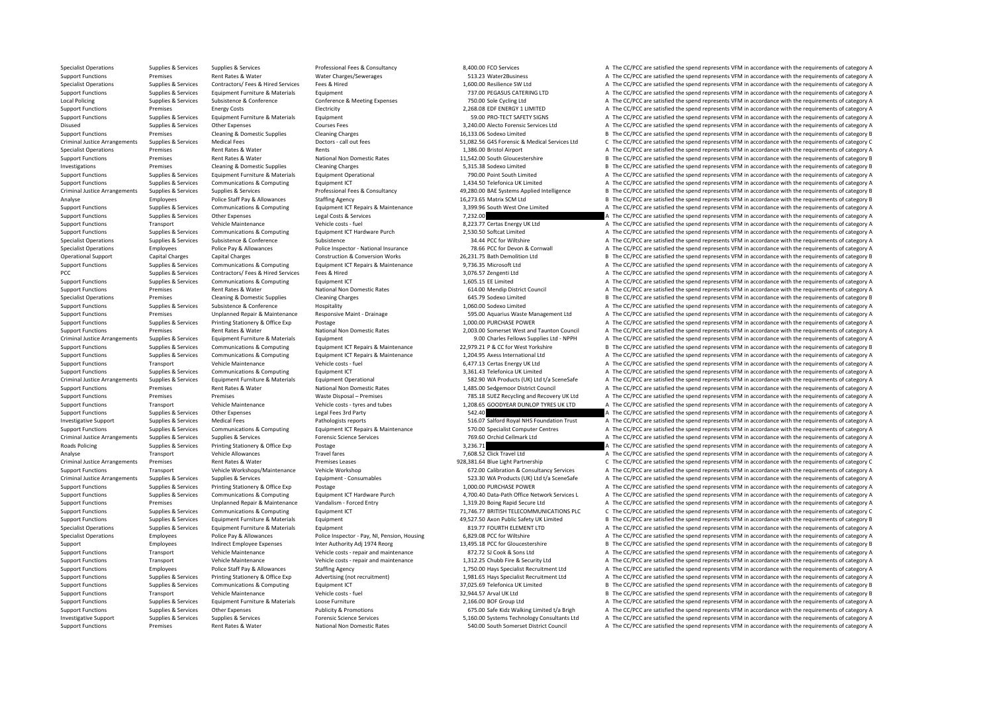Specialist Operations Supplies & Services Supplies & Services Professional Fees & Consultancy 8,400.00 FCO Services A The CC/PCC are satisfied the spend represents VFM in accordance with the requirements of category A Support Functions Premises Rent Rates & Water Water Charges/Sewerages States and States and States and States and The CC/PCC are satisfied the spend represents VFM in accordance with the requirements of category A Specialist Operations Supplies & Services Contractors/ Fees & Hired Fees & Hired 1,600.00 Resilience SW Ltd A The CC/PCC are satisfied the spend represents VFM in accordance with the requirements of category A The Crime in Support Functions Supplies & Services Equipment Eurniture & Materials Equipment Equipment Punctions Equipment 737.00 PEGASUS CATERING LTD A The CC/PCC are satisfied the spend represents VFM in accordance with the requireme Local Policing Supplies & Services Subsistence & Conference Conference & Meeting Expenses 750.00 Sole Cycling Ltd A The CC/PCC are satisfied the spend represents VFM in accordance with the requirements of category A Support Functions Premises Energy Costs Electricity Electricity Electricity Electricity Electricity Electricity and the CONSTRET SAFETY SIGNS A The CC/PCC are satisfied the spend represents VFM in accordance with the requi Support Functions Supplies & Services Equipment Furniture & Materials Equipment Equipment 59.00 PRO‐TECT SAFETY SIGNS A The CC/PCC are satisfied the spend represents VFM in accordance with the requirements of category A Disused Supplies & Services Other Expenses Courses Fees Courses Fees 3,240.00 Alecto Forensic Services Ltd A The CC/PCC are satisfied the spend represents VFM in accordance with the requirements of category A Support Functions Premises Cleaning & Domestic Supplies Cleaning Charges Cleaning Charges 16,133.06 Sodexo Limited B The CC/PCC are satisfied the spend represents VFM in accordance with the requirements of category B Criminal Justice Arrangements Supplies & Services Medical Fees Doctors - call out fees Doctors - call out fees Doctors - call out fees S1,082.56 G4S Forensic & Medical Services Ltd C The CC/PCC are satisfied the spend repr Specialist Operations Premises Rent Rates & Water Rents 1,386.00 Bristol Airport A The CC/PCC are satisfied the spend represents VFM in accordance with the requirements of category A Support Functions Premises Rent Rates & Water National Non Domestic Rates 11,542.00 South Gloucestershire B The CC/PCC are satisfied the spend represents VFM in accordance with the requirements of category B Investigations Premises Cleaning & Domestic Supplies Cleaning Charges Cleaning Charges Cleaning Charges Cleaning Charges ST5.38 Sodexo Limited B The CC/PCC are satisfied the spend represents VFM in accordance with the requ Support Functions Supplies & Services Equipment Furniture & Materials Equipment Operational Equipment Operational 790.00 Point South Limited A The CC/PCC are satisfied the spend represents VFM in accordance with the requir Support Functions Supplies & Services Communications & Computing Equipment ICT 1,434.50 Telefonica UK Limited A The CC/PCC are satisfied the spend represents VFM in accordance with the requirements of category A Criminal Justice Arrangements Supplies & Services Supplies & Services Professional Fees & Consultancy 49,280.00 BAE Systems Applied Intelligence B The CC/PCC are satisfied the spend represents VFM in accordance with the re Analyse Employees Police Staff Pay & Allowances Staffing Agency Staff Pay and the spend of the CC/PCC are satisfied the spend represents VFM in accordance with the requirements of category B Support Functions Supplies & Services Communications & Computing Equipment ICT Repairs & Maintenance 3,399.96 South West One Limited A The CC/PCC are satisfied the spend represents VFM in accordance with the requirements o Support Functions Supplies & Services Other Expenses Legal Costs & Services 7,232.00 A The CC/PCC are satisfied the spend represents VFM in accordance with the requirements of category A Support Functions Transport Vehicle Maintenance Vehicle costs – fuel Vehicle costs – fuel 8,223.77 Certas Energy UK Ltd A The CC/PCC are satisfied the spend represents VFM in accordance with the requirements of category A Support Functions Supplies & Services Communications & Computing Equipment ICT Hardware Purch 2,530.50 Softcat Limited A The CC/PCC are satisfied the spend represents VFM in accordance with the requirements of category A Specialist Operations Supplies & Services Subsistence Subsistence Subsistence Subsistence Subsistence Subsistence Subsistence Subsistence Subsistence Subsistence Subsistence Subsistence Subsistence Subsistence Subsistence Specialist Operations Employees Police Pay & Allowances Police Inspector - National Insurance POLICE Inspector - National Insurance 78.66 PCC for Devon & Cornwall A The CC/PCC are satisfied the spend represents VFM in acco Operational Support Capital Charges Capital Charges Capital Charges Capital Charges Capital Charges Capital Charges Construction & Construction & Conversion Works 26,231.75 Bath Demolition Ltd B The CC/PCC are satisfied th A The CC/PCC are satisfied the spend represents VFM in accordance with the requirements of category A PCC Supplies A Supplies & Services Contractors/ Fees & Hired Services Fees & Hired Services Fees & Hired 3,076.57 Zengenti Ltd A The CC/PCC are satisfied the spend represents VFM in accordance with the requirements of cate Support Functions Supplies & Services Communications & Computing Faulthouse Equipment ICT 1,605.15 EF Limited A The CC/PCC are satisfied the spend represents VFM in accordance with the requirements of category A Support Functions Premises Rent Rates & Water National Non Domestic Rates 614.00 Mendip District Council A The CC/PCC are satisfied the spend represents VFM in accordance with the requirements of category A The Critical La B The CC/PCC are satisfied the spend represents VFM in accordance with the requirements of category B Support Functions Supplies & Services Subsistence & Conference Hospitality Hospitality 1,060.00 Sodexo Limited A The CC/PCC are satisfied the spend represents VFM in accordance with the requirements of category A Support Functions Premises Unplanned Repair & Maintenance Responsive Maint - Drainage 595.00 Aquarius Waste Management Ltd A The CC/PCC are satisfied the spend represents VFM in accordance with the requirements of category Support Functions Supplies & Services Printing Stationery & Office Exp Postage Postage Postage 1,000.00 PURCHASE POWER A The CC/PCC are satisfied the spend represents VFM in accordance with the requirements of category A T A The CC/PCC are satisfied the spend represents VFM in accordance with the requirements of category A Criminal Justice Arrangements Supplies & Services Equipment Euriture & Materials Equipment Equipment Equipment<br>Supplies Supplies Supplies (Controlled Supplies Arrange Supplies and Category A Supplies Unity of the Communica Supplies & Services Communications & Computing Foujoment ICT Repairs & Maintenance 22.979.21 P & CC for West Yorkshire B The CC/PCC are satisfied the spend represents VFM in accordance with the requirements of category B Support Functions Supplies & Services Communications & Computing Equipment ICT Repairs & Maintenance 1,204.95 Axess International Ltd A The CC/PCC are satisfied the spend represents VFM in accordance with the requirements Support Functions Transport Vehicle Maintenance Vehicle costs – fuel expendied the spend of the CC/PCC are satisfied the spend represents VFM in accordance with the requirements of category A Support Functions Supplies & Services Communications & Computing Equipment ICT Equipment ICT 3,361.43 Telefonica UK Limited A The CC/PCC are satisfied the spend represents VFM in accordance with the requirements of categor Criminal lustice Arrangements Sunnlies & Services Foujoment Furniture & Materials Foujoment Operational Equipment Operational 582.90 WA Products (UK) I td t/a SceneSafe A The CC/PCC are satisfied the spend represents VFM i Support Functions Premises Rent Rates & Water National Non Domestic Rates 1,485.00 Sedgemoor District Council A The CC/PCC are satisfied the spend represents VFM in accordance with the requirements of category A Support Functions Premises Premises Premises Premises Waste Disposal – Premises 785.18 SUEZ Recycling and Recovery UK Ltd A The CC/PCC are satisfied the spend represents VFM in accordance with the requirements of category Transport Vehicle Maintenance Vehicle costs - tyres and tubes 1,208.65 GOODYEAR DUNLOP TYRES UK LTD A The CC/PCC are satisfied the spend represents VFM in accordance with the requirements of category A Support Functions Supplies & Services Other Expenses Legal Fees 3rd Party 1994 A The CC/PCC are satisfied the spend represents VFM in accordance with the requirements of category A Investigative Support Supplies & Services Medical Fees Pathologists reports Factors 516.07 Salford Royal NHS Foundation Trust A The CC/PCC are satisfied the spend represents VFM in accordance with the requirements of categ Supplies & Services Communications & Computing Equipment ICT Repairs & Maintenance 570.00 Specialist Computer Centres A The CC/PCC are satisfied the spend represents VFM in accordance with the requirements of category A Cr Criminal Justice Arrangements Supplies & Services Supplies & Services Forensic Science Services Forensic Science Services 769.60 Orchid Cellmark Ltd A The CC/PCC are satisfied the spend represents VFM in accordance with th Roads Policing Supplies & Services Printing Stationery & Office Exp Postage Printing Stationery & Office Exp Postage and Postage 3,236.71 A The CC/PCC are satisfied the spend represents VFM in accordance with the requireme Analyse Transport Vehicle Allowances Travel fares Travel fares Travel fares Travel fares Travel fares Travel fares and the Sease Travel Ltd A The CC/PCC are satisfied the spend represents VFM in accordance with the require Premises Rent Rates & Water Premises Leases 928,381.64 Blue Light Partnership C The CC/PCC are satisfied the spend represents VFM in accordance with the requirements of category C Support Functions Transport Vehicle Workshops/Maintenance Vehicle Workshop 672.00 Calibration & Consultancy Services A The CC/PCC are satisfied the spend represents VFM in accordance with the requirements of category A Criminal Justice Arrangements Supplies & Services Supplies & Services Equipment - Consumables E23.30 WA Products (UK) Ltd t/a SceneSafe A The CC/PCC are satisfied the spend represents VFM in accordance with the requirement Support Functions Supplies & Services Printing Stationery & Office Exp Postage Purch Postage 1,000.00 PURCHASE POWER A The CC/PCC are satisfied the spend represents VFM in accordance with the requirements of category A The Supplies & Services Communications & Computing Foujoment ICT Hardware Purch 4.700.40 Data-Path Office Network Services J The CC/PCC are satisfied the spend represents VFM in accordance with the requirements of category A Support Functions Premises Unplanned Repair & Maintenance Vandalism ‐ Forced Entry 1,319.20 Boing Rapid Secure Ltd A The CC/PCC are satisfied the spend represents VFM in accordance with the requirements of category A Support Functions Supplies & Services Communications & Computing Equipment ICT 71,746.77 BRITISH TELECOMMUNICATIONS PLC C The CC/PCC are satisfied the spend represents VFM in accordance with the requirements of category C<br> Support Functions Supplies & Services Equipment Eurniture & Materials Equipment 49,527.50 Axon Public Safety UK Limited B The CC/PCC are satisfied the spend represents VFM in accordance with the requirements of category B Specialist Operations Supplies & Services Equipment Furniture & Materials Equipment Suppliers Equipment and Suppliers and Suppliers and Suppliers and Suppliers A The CC/PCC are satisfied the spend represents VFM in accorda Specialist Operations Employees Police Pay & Allowances Police Inspector - Pay, NI, Pension, Housing 6,829.08 PCC for Willshire A Same A The CC/PCC are satisfied the spend represents VFM in accordance with the requirements Support Employees Indirect Employee Expenses Inter Authority Adi 1974 Reorg 13,495.18 PCC for Gloucestershire B The CC/PCC are satisfied the spend represents VFM in accordance with the requirements of category B Support Functions Transport Vehicle Maintenance Vehicle costs ‐ repair and maintenance 872.72 SJ Cook & Sons Ltd A The CC/PCC are satisfied the spend represents VFM in accordance with the requirements of category A Support Functions Transport Vehicle Maintenance Vehicle costs ‐ repair and maintenance 1,312.25 Chubb Fire & Security Ltd A The CC/PCC are satisfied the spend represents VFM in accordance with the requirements of category Support Functions Employees Police Staff Pay & Allowances Staffing Agency Staffing Agency 1,750.00 Hays Specialist Recruitment Ltd A The CC/PCC are satisfied the spend represents VFM in accordance with the requirements of Support Functions Supplies & Services Printing Stationery & Office Exp Advertising (not recruitment) 1,981.65 Hays Specialist Recruitment Ltd A The CC/PCC are satisfied the spend represents VFM in accordance with the requi Support Functions Supplies & Services Communications & Computing Equipment ICT 37,025.69 Telefonica UK Limited B The CC/PCC are satisfied the spend represents VFM in accordance with the requirements of category B Support Functions Transport Vehicle Maintenance Vehicle costs – fuel Vehicle costs – fuel 32,944.57 Arval UK Ltd B The CC/PCC are satisfied the spend represents VFM in accordance with the requirements of category B Support A The CC/PCC are satisfied the spend represents VFM in accordance with the requirements of category A Support Functions Supplies & Services Other Expenses Publicity & Promotions Publicity & Promotions 675.00 Safe Kidz Walking Limited t/a Brigh A The CC/PCC are satisfied the spend represents VFM in accordance with the requi Investigative Support Supplies & Services Supplies & Services Forensic Science Services Forensic Science Services Forensic Science Services 5,160.00 Systems Technology Consultants Ltd A The CC/PCC are satisfied the spend r Support Functions Premises Rent Rates & Water National Non Domestic Rates 540.00 South Somerset District Council A The CC/PCC are satisfied the spend represents VFM in accordance with the requirements of category A